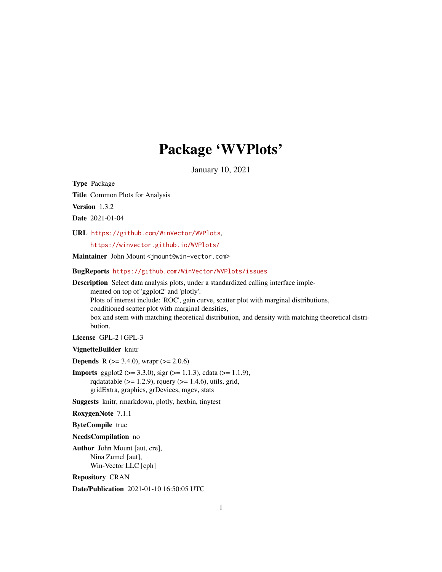## Package 'WVPlots'

January 10, 2021

<span id="page-0-0"></span>Type Package

Title Common Plots for Analysis

Version 1.3.2

Date 2021-01-04

URL <https://github.com/WinVector/WVPlots>,

<https://winvector.github.io/WVPlots/>

Maintainer John Mount <jmount@win-vector.com>

BugReports <https://github.com/WinVector/WVPlots/issues>

Description Select data analysis plots, under a standardized calling interface implemented on top of 'ggplot2' and 'plotly'. Plots of interest include: 'ROC', gain curve, scatter plot with marginal distributions, conditioned scatter plot with marginal densities, box and stem with matching theoretical distribution, and density with matching theoretical distribution.

License GPL-2 | GPL-3

VignetteBuilder knitr

**Depends** R ( $>= 3.4.0$ ), wrapr ( $>= 2.0.6$ )

**Imports** ggplot2 ( $> = 3.3.0$ ), sigr ( $> = 1.1.3$ ), cdata ( $> = 1.1.9$ ), rqdatatable  $(>= 1.2.9)$ , rquery  $(>= 1.4.6)$ , utils, grid, gridExtra, graphics, grDevices, mgcv, stats

Suggests knitr, rmarkdown, plotly, hexbin, tinytest

RoxygenNote 7.1.1

ByteCompile true

NeedsCompilation no

Author John Mount [aut, cre], Nina Zumel [aut], Win-Vector LLC [cph]

Repository CRAN

Date/Publication 2021-01-10 16:50:05 UTC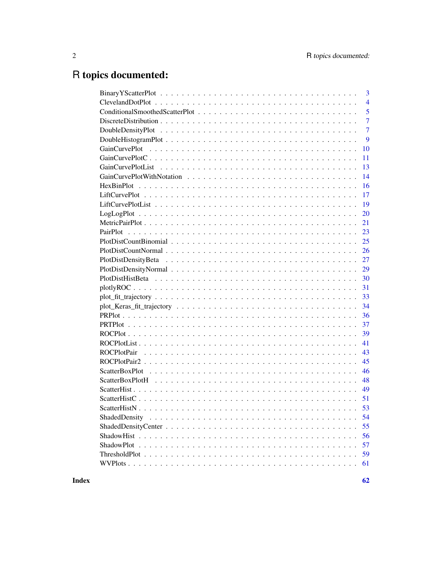# R topics documented:

| 3                   |
|---------------------|
| $\overline{4}$      |
| 5                   |
| $\overline{7}$      |
| $\overline{7}$      |
| 9                   |
| 10                  |
| 11                  |
| 13                  |
| 14                  |
| 16                  |
| 17                  |
| 19                  |
| 20                  |
| 21                  |
| 23                  |
| 25                  |
| 26                  |
| 27                  |
| 29                  |
| 30                  |
| 31                  |
| 33                  |
| 34                  |
| 36                  |
| 37                  |
| 39                  |
| 41                  |
| 43                  |
| 45                  |
| 46                  |
| 48                  |
| 49                  |
| 51                  |
|                     |
| 54<br>ShadedDensity |
| 55                  |
| 56                  |
| 57                  |
| 59                  |
| 61                  |
|                     |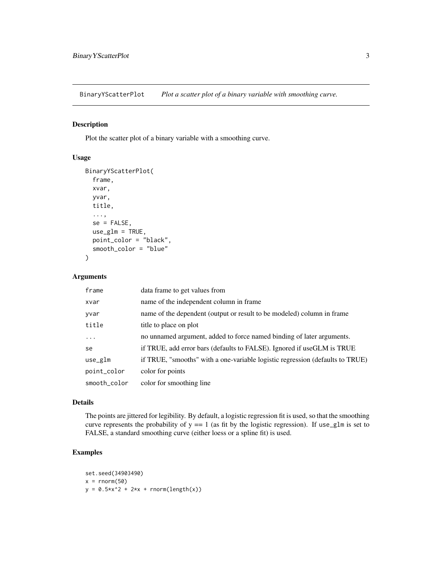<span id="page-2-0"></span>BinaryYScatterPlot *Plot a scatter plot of a binary variable with smoothing curve.*

#### Description

Plot the scatter plot of a binary variable with a smoothing curve.

#### Usage

```
BinaryYScatterPlot(
  frame,
  xvar,
 yvar,
  title,
  ...,
  se = FALSE,use\_glm = TRUE,point_color = "black",
  smooth_color = "blue"
)
```
#### Arguments

| frame        | data frame to get values from                                                 |
|--------------|-------------------------------------------------------------------------------|
| xvar         | name of the independent column in frame                                       |
| yvar         | name of the dependent (output or result to be modeled) column in frame        |
| title        | title to place on plot                                                        |
| $\ddots$     | no unnamed argument, added to force named binding of later arguments.         |
| se           | if TRUE, add error bars (defaults to FALSE). Ignored if useGLM is TRUE        |
| use_glm      | if TRUE, "smooths" with a one-variable logistic regression (defaults to TRUE) |
| point_color  | color for points                                                              |
| smooth_color | color for smoothing line                                                      |

#### Details

The points are jittered for legibility. By default, a logistic regression fit is used, so that the smoothing curve represents the probability of  $y == 1$  (as fit by the logistic regression). If use\_glm is set to FALSE, a standard smoothing curve (either loess or a spline fit) is used.

```
set.seed(34903490)
x = \text{norm}(50)y = 0.5*x^2 + 2*x + rnorm(length(x))
```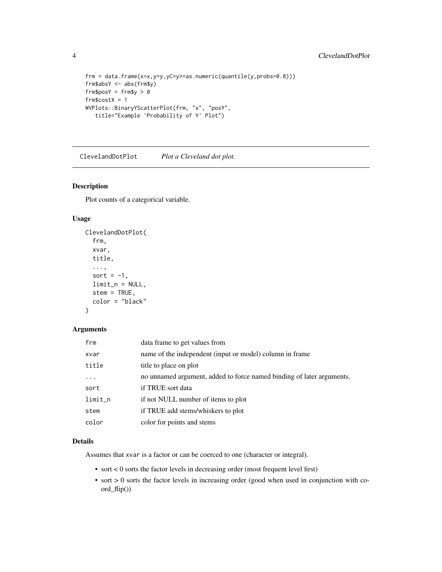```
frm = data.frame(x=x,y=y,yC=y>=as.numeric(quantile(y,probs=0.8)))
frm$absY <- abs(frm$y)
frm$posY = frm$y > 0
frm$costX = 1WVPlots::BinaryYScatterPlot(frm, "x", "posY",
  title="Example 'Probability of Y' Plot")
```
ClevelandDotPlot *Plot a Cleveland dot plot.*

#### Description

Plot counts of a categorical variable.

#### Usage

```
ClevelandDotPlot(
  frm,
  xvar,
  title,
  ...,
  sort = -1,
 limit_n = NULL,
  stem = TRUE,
  color = "black"
)
```
### Arguments

| frm        | data frame to get values from                                         |
|------------|-----------------------------------------------------------------------|
| xvar       | name of the independent (input or model) column in frame              |
| title      | title to place on plot                                                |
| $\ddots$ . | no unnamed argument, added to force named binding of later arguments. |
| sort       | if TRUE sort data                                                     |
| $limit_n$  | if not NULL number of items to plot                                   |
| stem       | if TRUE add stems/whiskers to plot                                    |
| color      | color for points and stems                                            |

#### Details

Assumes that xvar is a factor or can be coerced to one (character or integral).

- sort < 0 sorts the factor levels in decreasing order (most frequent level first)
- sort > 0 sorts the factor levels in increasing order (good when used in conjunction with coord\_flip())

<span id="page-3-0"></span>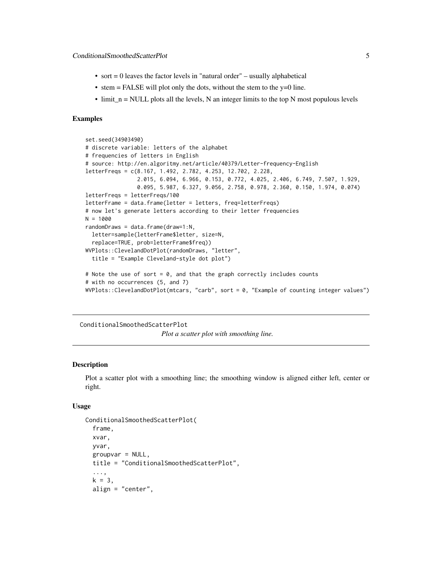- <span id="page-4-0"></span>• sort  $= 0$  leaves the factor levels in "natural order" – usually alphabetical
- stem  $=$  FALSE will plot only the dots, without the stem to the y=0 line.
- $\bullet$  limit\_n = NULL plots all the levels, N an integer limits to the top N most populous levels

#### Examples

```
set.seed(34903490)
# discrete variable: letters of the alphabet
# frequencies of letters in English
# source: http://en.algoritmy.net/article/40379/Letter-frequency-English
letterFreqs = c(8.167, 1.492, 2.782, 4.253, 12.702, 2.228,
                2.015, 6.094, 6.966, 0.153, 0.772, 4.025, 2.406, 6.749, 7.507, 1.929,
                0.095, 5.987, 6.327, 9.056, 2.758, 0.978, 2.360, 0.150, 1.974, 0.074)
letterFreqs = letterFreqs/100
letterFrame = data.frame(letter = letters, freq=letterFreqs)
# now let's generate letters according to their letter frequencies
N = 1000
randomDraws = data.frame(draw=1:N,
  letter=sample(letterFrame$letter, size=N,
  replace=TRUE, prob=letterFrame$freq))
WVPlots::ClevelandDotPlot(randomDraws, "letter",
  title = "Example Cleveland-style dot plot")
# Note the use of sort = 0, and that the graph correctly includes counts
# with no occurrences (5, and 7)
WVPlots::ClevelandDotPlot(mtcars, "carb", sort = 0, "Example of counting integer values")
```
ConditionalSmoothedScatterPlot

*Plot a scatter plot with smoothing line.*

#### **Description**

Plot a scatter plot with a smoothing line; the smoothing window is aligned either left, center or right.

```
ConditionalSmoothedScatterPlot(
  frame,
  xvar,
  yvar,
  groupvar = NULL,title = "ConditionalSmoothedScatterPlot",
  ...,
  k = 3,
  align = "center",
```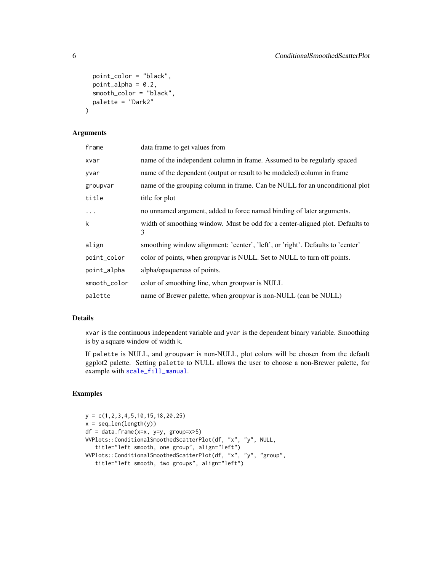```
point_color = "black",
 point_alpha = 0.2,
  smooth_color = "black",
 palette = "Dark2"
\lambda
```
#### Arguments

| frame        | data frame to get values from                                                      |
|--------------|------------------------------------------------------------------------------------|
| xvar         | name of the independent column in frame. Assumed to be regularly spaced            |
| yvar         | name of the dependent (output or result to be modeled) column in frame             |
| groupvar     | name of the grouping column in frame. Can be NULL for an unconditional plot        |
| title        | title for plot                                                                     |
| $\ddots$     | no unnamed argument, added to force named binding of later arguments.              |
| k            | width of smoothing window. Must be odd for a center-aligned plot. Defaults to<br>3 |
| align        | smoothing window alignment: 'center', 'left', or 'right'. Defaults to 'center'     |
| point_color  | color of points, when groupvar is NULL. Set to NULL to turn off points.            |
| point_alpha  | alpha/opaqueness of points.                                                        |
| smooth_color | color of smoothing line, when group are is NULL                                    |
| palette      | name of Brewer palette, when groupvar is non-NULL (can be NULL)                    |

#### Details

xvar is the continuous independent variable and yvar is the dependent binary variable. Smoothing is by a square window of width k.

If palette is NULL, and groupvar is non-NULL, plot colors will be chosen from the default ggplot2 palette. Setting palette to NULL allows the user to choose a non-Brewer palette, for example with [scale\\_fill\\_manual](#page-0-0).

```
y = c(1,2,3,4,5,10,15,18,20,25)
x = seq\_len(lenath(y))df = data.frame(x=x, y=y, group=x>5)
WVPlots::ConditionalSmoothedScatterPlot(df, "x", "y", NULL,
   title="left smooth, one group", align="left")
WVPlots::ConditionalSmoothedScatterPlot(df, "x", "y", "group",
   title="left smooth, two groups", align="left")
```
<span id="page-5-0"></span>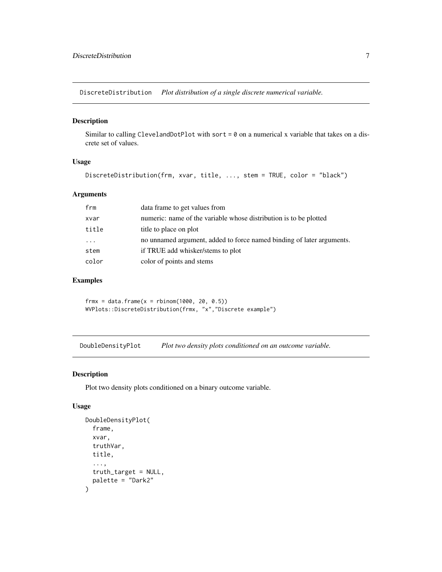<span id="page-6-0"></span>DiscreteDistribution *Plot distribution of a single discrete numerical variable.*

#### Description

Similar to calling ClevelandDotPlot with sort =  $0$  on a numerical x variable that takes on a discrete set of values.

#### Usage

```
DiscreteDistribution(frm, xvar, title, ..., stem = TRUE, color = "black")
```
#### Arguments

| frm                     | data frame to get values from                                         |
|-------------------------|-----------------------------------------------------------------------|
| xvar                    | numeric: name of the variable whose distribution is to be plotted     |
| title                   | title to place on plot                                                |
| $\cdot$ $\cdot$ $\cdot$ | no unnamed argument, added to force named binding of later arguments. |
| stem                    | if TRUE add whisker/stems to plot                                     |
| color                   | color of points and stems                                             |
|                         |                                                                       |

#### Examples

 $frmx = data.frame(x = rbinom(1000, 20, 0.5))$ WVPlots::DiscreteDistribution(frmx, "x","Discrete example")

DoubleDensityPlot *Plot two density plots conditioned on an outcome variable.*

#### Description

Plot two density plots conditioned on a binary outcome variable.

```
DoubleDensityPlot(
  frame,
  xvar,
  truthVar,
  title,
  ...,
  truth_target = NULL,
  palette = "Dark2"
\mathcal{E}
```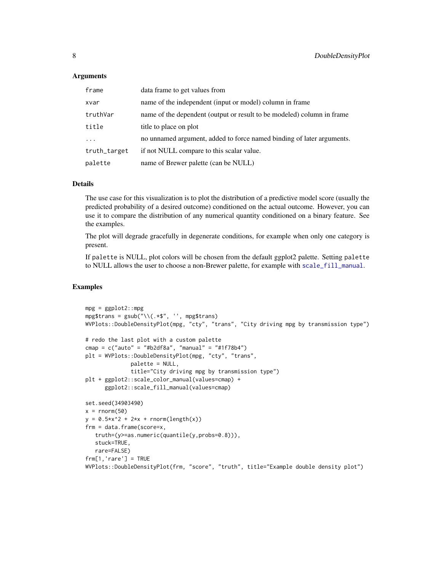#### <span id="page-7-0"></span>Arguments

| frame        | data frame to get values from                                          |
|--------------|------------------------------------------------------------------------|
| xvar         | name of the independent (input or model) column in frame               |
| truthVar     | name of the dependent (output or result to be modeled) column in frame |
| title        | title to place on plot                                                 |
| $\cdots$     | no unnamed argument, added to force named binding of later arguments.  |
| truth_target | if not NULL compare to this scalar value.                              |
| palette      | name of Brewer palette (can be NULL)                                   |

#### Details

The use case for this visualization is to plot the distribution of a predictive model score (usually the predicted probability of a desired outcome) conditioned on the actual outcome. However, you can use it to compare the distribution of any numerical quantity conditioned on a binary feature. See the examples.

The plot will degrade gracefully in degenerate conditions, for example when only one category is present.

If palette is NULL, plot colors will be chosen from the default ggplot2 palette. Setting palette to NULL allows the user to choose a non-Brewer palette, for example with [scale\\_fill\\_manual](#page-0-0).

```
mpg = ggplot2::mpgmpg$trans = gsub("\\..*$", ''', mpg$trans)WVPlots::DoubleDensityPlot(mpg, "cty", "trans", "City driving mpg by transmission type")
# redo the last plot with a custom palette
cmap = c("auto" = "#b2df8a", "manual" = "#1f78b4")plt = WVPlots::DoubleDensityPlot(mpg, "cty", "trans",
              palette = NULL,
              title="City driving mpg by transmission type")
plt + ggplot2::scale_color_manual(values=cmap) +
      ggplot2::scale_fill_manual(values=cmap)
set.seed(34903490)
x = rnorm(50)y = 0.5*x^2 + 2*x + rnorm(length(x))frm = data.frame(score=x,
   truth=(y>=as.numeric(quantile(y,probs=0.8))),
   stuck=TRUE,
   rare=FALSE)
frm[1,'rare'] = TRUE
WVPlots::DoubleDensityPlot(frm, "score", "truth", title="Example double density plot")
```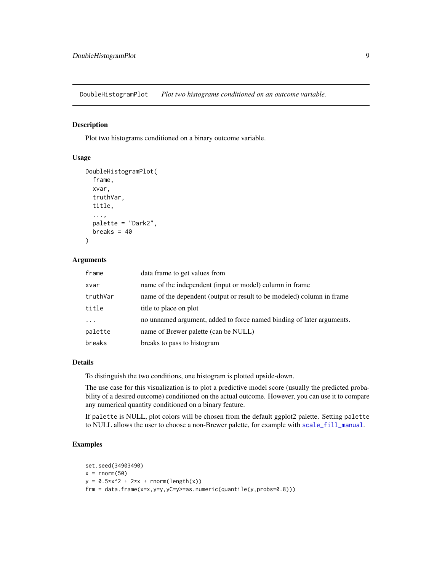<span id="page-8-0"></span>DoubleHistogramPlot *Plot two histograms conditioned on an outcome variable.*

#### Description

Plot two histograms conditioned on a binary outcome variable.

#### Usage

```
DoubleHistogramPlot(
  frame,
  xvar,
  truthVar,
  title,
  ...,
 palette = "Dark2",
 breaks = 40)
```
#### Arguments

| frame    | data frame to get values from                                          |
|----------|------------------------------------------------------------------------|
| xvar     | name of the independent (input or model) column in frame               |
| truthVar | name of the dependent (output or result to be modeled) column in frame |
| title    | title to place on plot                                                 |
| .        | no unnamed argument, added to force named binding of later arguments.  |
| palette  | name of Brewer palette (can be NULL)                                   |
| breaks   | breaks to pass to histogram                                            |

#### Details

To distinguish the two conditions, one histogram is plotted upside-down.

The use case for this visualization is to plot a predictive model score (usually the predicted probability of a desired outcome) conditioned on the actual outcome. However, you can use it to compare any numerical quantity conditioned on a binary feature.

If palette is NULL, plot colors will be chosen from the default ggplot2 palette. Setting palette to NULL allows the user to choose a non-Brewer palette, for example with [scale\\_fill\\_manual](#page-0-0).

```
set.seed(34903490)
x = rnorm(50)y = 0.5*x^2 + 2*x + rnorm(length(x))frm = data.frame(x=x,y=y,yC=y>=as.numeric(quantile(y,probs=0.8)))
```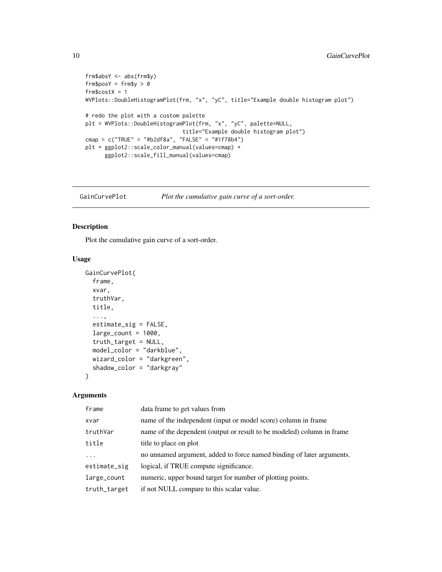```
frm$absY <- abs(frm$y)
frm$posY = frm$y > 0frm$costX = 1
WVPlots::DoubleHistogramPlot(frm, "x", "yC", title="Example double histogram plot")
# redo the plot with a custom palette
plt = WVPlots::DoubleHistogramPlot(frm, "x", "yC", palette=NULL,
                             title="Example double histogram plot")
cmap = c("TRUE" = "#b2df8a", "FALSE" = "#1f78b4")plt + ggplot2::scale_color_manual(values=cmap) +
      ggplot2::scale_fill_manual(values=cmap)
```
<span id="page-9-1"></span>GainCurvePlot *Plot the cumulative gain curve of a sort-order.*

#### Description

Plot the cumulative gain curve of a sort-order.

#### Usage

```
GainCurvePlot(
  frame,
 xvar,
  truthVar,
  title,
  ...,
  estimate_sig = FALSE,
  large\_count = 1000,truth_target = NULL,
  model_color = "darkblue",
 wizard_color = "darkgreen",
  shadow_color = "darkgray"
\mathcal{L}
```

| frame           | data frame to get values from                                          |
|-----------------|------------------------------------------------------------------------|
| xvar            | name of the independent (input or model score) column in frame         |
| truthVar        | name of the dependent (output or result to be modeled) column in frame |
| title           | title to place on plot                                                 |
| $\ddots$ .      | no unnamed argument, added to force named binding of later arguments.  |
| $estimate\_sig$ | logical, if TRUE compute significance.                                 |
| large_count     | numeric, upper bound target for number of plotting points.             |
| truth_target    | if not NULL compare to this scalar value.                              |

<span id="page-9-0"></span>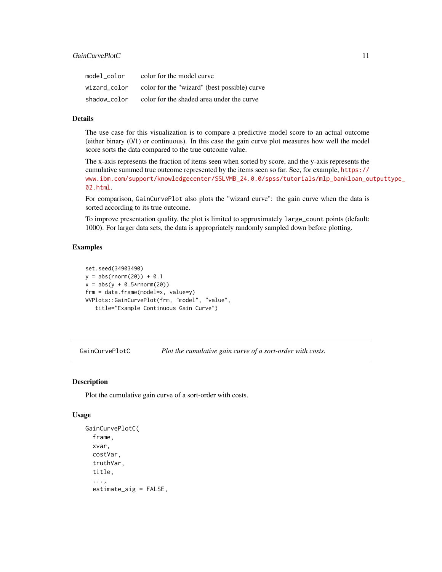<span id="page-10-0"></span>

| model color  | color for the model curve                    |
|--------------|----------------------------------------------|
| wizard color | color for the "wizard" (best possible) curve |
| shadow color | color for the shaded area under the curve    |

#### Details

The use case for this visualization is to compare a predictive model score to an actual outcome (either binary (0/1) or continuous). In this case the gain curve plot measures how well the model score sorts the data compared to the true outcome value.

The x-axis represents the fraction of items seen when sorted by score, and the y-axis represents the cumulative summed true outcome represented by the items seen so far. See, for example, [https://](https://www.ibm.com/support/knowledgecenter/SSLVMB_24.0.0/spss/tutorials/mlp_bankloan_outputtype_02.html) [www.ibm.com/support/knowledgecenter/SSLVMB\\_24.0.0/spss/tutorials/mlp\\_bankloan\\_ou](https://www.ibm.com/support/knowledgecenter/SSLVMB_24.0.0/spss/tutorials/mlp_bankloan_outputtype_02.html)tputtype\_ [02.html](https://www.ibm.com/support/knowledgecenter/SSLVMB_24.0.0/spss/tutorials/mlp_bankloan_outputtype_02.html).

For comparison, GainCurvePlot also plots the "wizard curve": the gain curve when the data is sorted according to its true outcome.

To improve presentation quality, the plot is limited to approximately large\_count points (default: 1000). For larger data sets, the data is appropriately randomly sampled down before plotting.

#### Examples

```
set.seed(34903490)
y = abs(rnorm(20)) + 0.1x = abs(y + 0.5*rnorm(20))frm = data.frame(model=x, value=y)
WVPlots::GainCurvePlot(frm, "model", "value",
   title="Example Continuous Gain Curve")
```
GainCurvePlotC *Plot the cumulative gain curve of a sort-order with costs.*

#### Description

Plot the cumulative gain curve of a sort-order with costs.

```
GainCurvePlotC(
  frame,
  xvar,
 costVar,
  truthVar,
  title,
  ...,
  estimate_sig = FALSE,
```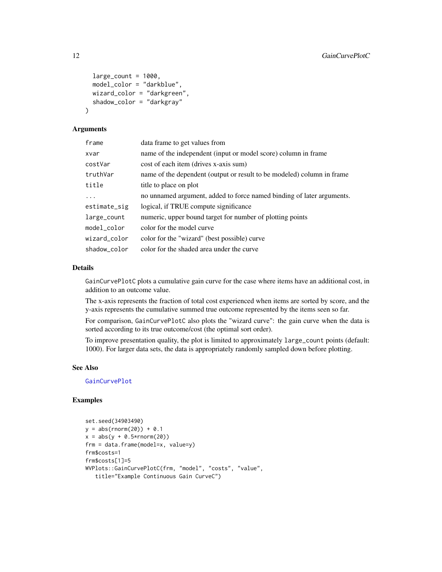```
large\_count = 1000,
 model_color = "darkblue",
 wizard_color = "darkgreen",
  shadow_color = "darkgray"
)
```
#### Arguments

| frame        | data frame to get values from                                          |
|--------------|------------------------------------------------------------------------|
| xvar         | name of the independent (input or model score) column in frame         |
| costVar      | cost of each item (drives x-axis sum)                                  |
| truthVar     | name of the dependent (output or result to be modeled) column in frame |
| title        | title to place on plot                                                 |
| $\ddots$     | no unnamed argument, added to force named binding of later arguments.  |
| estimate_sig | logical, if TRUE compute significance                                  |
| large_count  | numeric, upper bound target for number of plotting points              |
| model color  | color for the model curve                                              |
| wizard color | color for the "wizard" (best possible) curve                           |
| shadow_color | color for the shaded area under the curve                              |

#### Details

GainCurvePlotC plots a cumulative gain curve for the case where items have an additional cost, in addition to an outcome value.

The x-axis represents the fraction of total cost experienced when items are sorted by score, and the y-axis represents the cumulative summed true outcome represented by the items seen so far.

For comparison, GainCurvePlotC also plots the "wizard curve": the gain curve when the data is sorted according to its true outcome/cost (the optimal sort order).

To improve presentation quality, the plot is limited to approximately large\_count points (default: 1000). For larger data sets, the data is appropriately randomly sampled down before plotting.

#### See Also

[GainCurvePlot](#page-9-1)

```
set.seed(34903490)
y = abs(rnorm(20)) + 0.1x = abs(y + 0.5*rnorm(20))frm = data.frame(model=x, value=y)
frm$costs=1
frm$costs[1]=5
WVPlots::GainCurvePlotC(frm, "model", "costs", "value",
   title="Example Continuous Gain CurveC")
```
<span id="page-11-0"></span>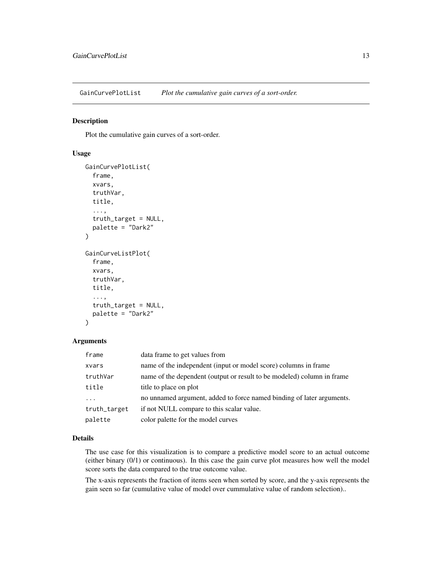<span id="page-12-0"></span>GainCurvePlotList *Plot the cumulative gain curves of a sort-order.*

#### Description

Plot the cumulative gain curves of a sort-order.

#### Usage

```
GainCurvePlotList(
  frame,
  xvars,
  truthVar,
  title,
  ...,
  truth_target = NULL,
  palette = "Dark2"
)
GainCurveListPlot(
  frame,
  xvars,
  truthVar,
  title,
  ...,
  truth_target = NULL,
  palette = "Dark2"
)
```
#### Arguments

| frame        | data frame to get values from                                          |
|--------------|------------------------------------------------------------------------|
| xvars        | name of the independent (input or model score) columns in frame        |
| truthVar     | name of the dependent (output or result to be modeled) column in frame |
| title        | title to place on plot                                                 |
| $\cdots$     | no unnamed argument, added to force named binding of later arguments.  |
| truth_target | if not NULL compare to this scalar value.                              |
| palette      | color palette for the model curves                                     |

#### Details

The use case for this visualization is to compare a predictive model score to an actual outcome (either binary (0/1) or continuous). In this case the gain curve plot measures how well the model score sorts the data compared to the true outcome value.

The x-axis represents the fraction of items seen when sorted by score, and the y-axis represents the gain seen so far (cumulative value of model over cummulative value of random selection)..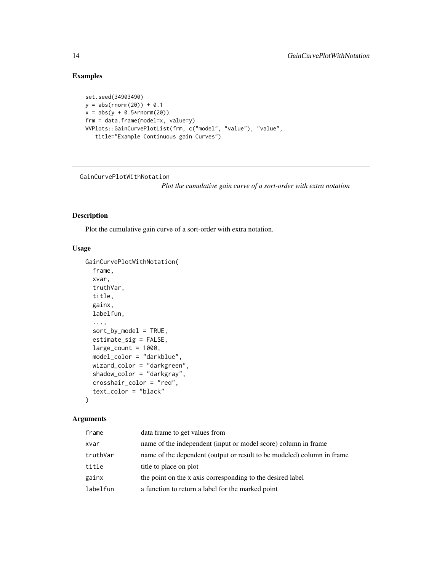#### Examples

```
set.seed(34903490)
y = abs(rnorm(20)) + 0.1x = abs(y + 0.5*rnorm(20))frm = data.frame(model=x, value=y)
WVPlots::GainCurvePlotList(frm, c("model", "value"), "value",
   title="Example Continuous gain Curves")
```
GainCurvePlotWithNotation

*Plot the cumulative gain curve of a sort-order with extra notation*

#### Description

Plot the cumulative gain curve of a sort-order with extra notation.

#### Usage

```
GainCurvePlotWithNotation(
  frame,
 xvar,
  truthVar,
  title,
  gainx,
  labelfun,
  ...,
  sort_by_model = TRUE,
  estimate_sig = FALSE,
  large\_count = 1000,model_color = "darkblue",
 wizard_color = "darkgreen",
  shadow_color = "darkgray",
  crosshair_color = "red",
  text_color = "black"
)
```

| frame    | data frame to get values from                                          |
|----------|------------------------------------------------------------------------|
| xvar     | name of the independent (input or model score) column in frame         |
| truthVar | name of the dependent (output or result to be modeled) column in frame |
| title    | title to place on plot                                                 |
| gainx    | the point on the x axis corresponding to the desired label             |
| labelfun | a function to return a label for the marked point                      |

<span id="page-13-0"></span>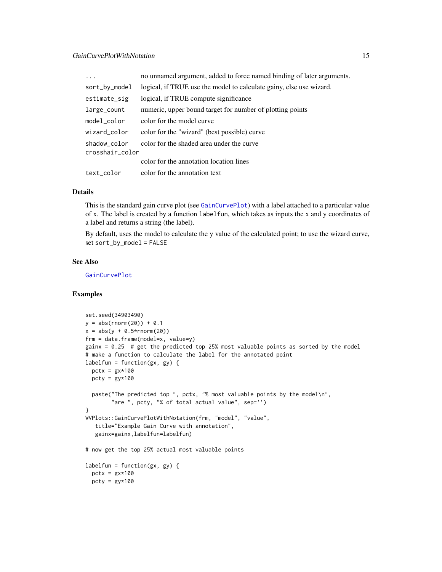<span id="page-14-0"></span>

| .                               | no unnamed argument, added to force named binding of later arguments. |
|---------------------------------|-----------------------------------------------------------------------|
| sort_by_model                   | logical, if TRUE use the model to calculate gainy, else use wizard.   |
| estimate_sig                    | logical, if TRUE compute significance                                 |
| large_count                     | numeric, upper bound target for number of plotting points             |
| model_color                     | color for the model curve                                             |
| wizard_color                    | color for the "wizard" (best possible) curve                          |
| shadow_color<br>crosshair_color | color for the shaded area under the curve                             |
|                                 | color for the annotation location lines                               |
| text_color                      | color for the annotation text                                         |

#### Details

This is the standard gain curve plot (see [GainCurvePlot](#page-9-1)) with a label attached to a particular value of x. The label is created by a function labelfun, which takes as inputs the x and y coordinates of a label and returns a string (the label).

By default, uses the model to calculate the y value of the calculated point; to use the wizard curve, set sort\_by\_model = FALSE

#### See Also

[GainCurvePlot](#page-9-1)

```
set.seed(34903490)
y = abs(rnorm(20)) + 0.1x = abs(y + 0.5*rnorm(20))frm = data.frame(model=x, value=y)
gainx = 0.25 # get the predicted top 25% most valuable points as sorted by the model
# make a function to calculate the label for the annotated point
labelfun = function(gx, gy) {
  pctx = gx*100pcty = gy*100paste("The predicted top ", pctx, "% most valuable points by the model\n",
        "are ", pcty, "% of total actual value", sep='')
}
WVPlots::GainCurvePlotWithNotation(frm, "model", "value",
   title="Example Gain Curve with annotation",
   gainx=gainx,labelfun=labelfun)
# now get the top 25% actual most valuable points
labelfun = function(gx, gy)pctx = gx*100pcty = gy*100
```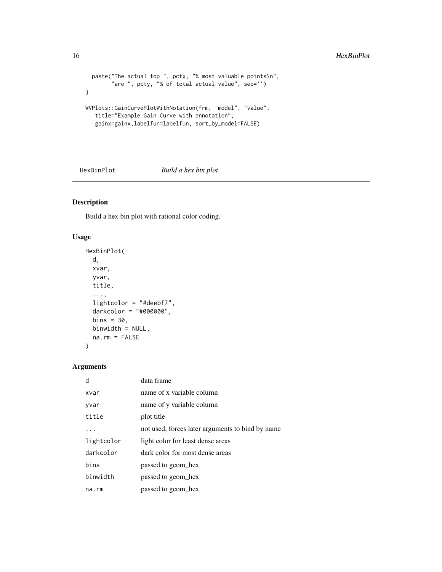```
paste("The actual top ", pctx, "% most valuable points\n",
        "are ", pcty, "% of total actual value", sep='')
}
WVPlots::GainCurvePlotWithNotation(frm, "model", "value",
  title="Example Gain Curve with annotation",
   gainx=gainx,labelfun=labelfun, sort_by_model=FALSE)
```
HexBinPlot *Build a hex bin plot*

#### Description

Build a hex bin plot with rational color coding.

#### Usage

```
HexBinPlot(
  d,
  xvar,
  yvar,
  title,
  ...,
  lightcolor = "#deebf7",
  darkcolor = "#000000",
  bins = 30,
  binwidth = NULL,
  na.rm = FALSE
\mathcal{E}
```

| d          | data frame                                       |
|------------|--------------------------------------------------|
| xvar       | name of x variable column                        |
| yvar       | name of y variable column                        |
| title      | plot title                                       |
| .          | not used, forces later arguments to bind by name |
| lightcolor | light color for least dense areas                |
| darkcolor  | dark color for most dense areas                  |
| bins       | passed to geom hex                               |
| binwidth   | passed to geom hex                               |
| na.rm      | passed to geom_hex                               |

<span id="page-15-0"></span>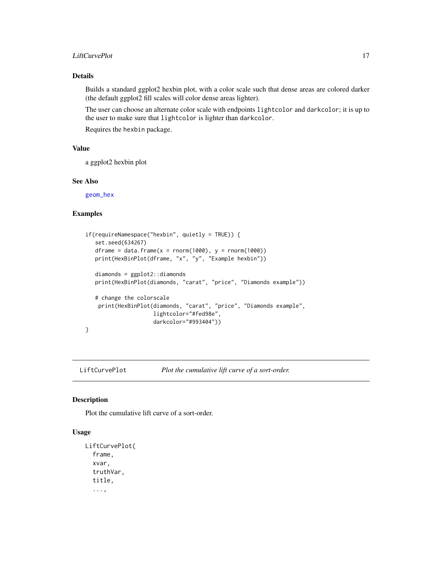#### <span id="page-16-0"></span>LiftCurvePlot 17

#### Details

Builds a standard ggplot2 hexbin plot, with a color scale such that dense areas are colored darker (the default ggplot2 fill scales will color dense areas lighter).

The user can choose an alternate color scale with endpoints lightcolor and darkcolor; it is up to the user to make sure that lightcolor is lighter than darkcolor.

Requires the hexbin package.

#### Value

a ggplot2 hexbin plot

#### See Also

[geom\\_hex](#page-0-0)

#### Examples

```
if(requireNamespace("hexbin", quietly = TRUE)) {
   set.seed(634267)
   dframe = data.frame(x =rnorm(1000), y =rnorm(1000))
   print(HexBinPlot(dframe, "x", "y", "Example hexbin"))
   diamonds = ggplot2::diamonds
   print(HexBinPlot(diamonds, "carat", "price", "Diamonds example"))
   # change the colorscale
    print(HexBinPlot(diamonds, "carat", "price", "Diamonds example",
                    lightcolor="#fed98e",
                     darkcolor="#993404"))
}
```
LiftCurvePlot *Plot the cumulative lift curve of a sort-order.*

#### Description

Plot the cumulative lift curve of a sort-order.

```
LiftCurvePlot(
  frame,
  xvar,
  truthVar,
  title,
  ...,
```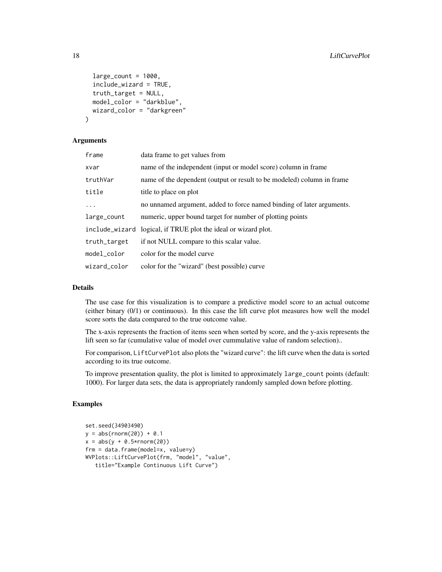```
large\_count = 1000,
  include_wizard = TRUE,
  truth_target = NULL,
 model_color = "darkblue",
 wizard_color = "darkgreen"
)
```
#### Arguments

| frame          | data frame to get values from                                          |
|----------------|------------------------------------------------------------------------|
| xvar           | name of the independent (input or model score) column in frame         |
| truthVar       | name of the dependent (output or result to be modeled) column in frame |
| title          | title to place on plot                                                 |
| $\ddots$       | no unnamed argument, added to force named binding of later arguments.  |
| large_count    | numeric, upper bound target for number of plotting points              |
| include_wizard | logical, if TRUE plot the ideal or wizard plot.                        |
| truth_target   | if not NULL compare to this scalar value.                              |
| model_color    | color for the model curve                                              |
| wizard_color   | color for the "wizard" (best possible) curve                           |

#### Details

The use case for this visualization is to compare a predictive model score to an actual outcome (either binary (0/1) or continuous). In this case the lift curve plot measures how well the model score sorts the data compared to the true outcome value.

The x-axis represents the fraction of items seen when sorted by score, and the y-axis represents the lift seen so far (cumulative value of model over cummulative value of random selection)..

For comparison, LiftCurvePlot also plots the "wizard curve": the lift curve when the data is sorted according to its true outcome.

To improve presentation quality, the plot is limited to approximately large\_count points (default: 1000). For larger data sets, the data is appropriately randomly sampled down before plotting.

```
set.seed(34903490)
y = abs(rnorm(20)) + 0.1x = abs(y + 0.5*rnorm(20))frm = data.frame(model=x, value=y)
WVPlots::LiftCurvePlot(frm, "model", "value",
   title="Example Continuous Lift Curve")
```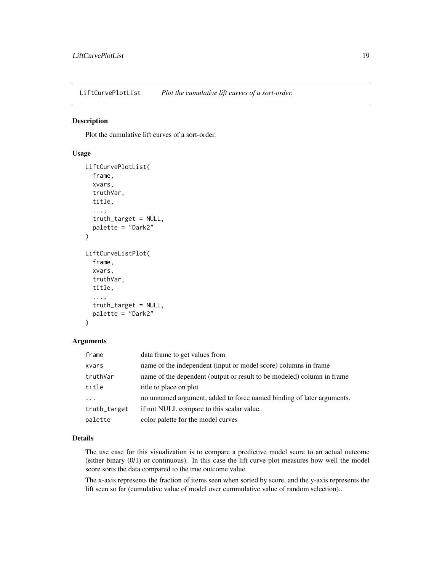<span id="page-18-0"></span>LiftCurvePlotList *Plot the cumulative lift curves of a sort-order.*

#### Description

Plot the cumulative lift curves of a sort-order.

#### Usage

```
LiftCurvePlotList(
  frame,
  xvars,
  truthVar,
  title,
  ...,
  truth_target = NULL,
  palette = "Dark2"
)
LiftCurveListPlot(
  frame,
  xvars,
  truthVar,
  title,
  ...,
  truth_target = NULL,
  palette = "Dark2"
\mathcal{L}
```
#### Arguments

| frame        | data frame to get values from                                          |
|--------------|------------------------------------------------------------------------|
| xvars        | name of the independent (input or model score) columns in frame        |
| truthVar     | name of the dependent (output or result to be modeled) column in frame |
| title        | title to place on plot                                                 |
| $\cdots$     | no unnamed argument, added to force named binding of later arguments.  |
| truth_target | if not NULL compare to this scalar value.                              |
| palette      | color palette for the model curves                                     |

#### Details

The use case for this visualization is to compare a predictive model score to an actual outcome (either binary (0/1) or continuous). In this case the lift curve plot measures how well the model score sorts the data compared to the true outcome value.

The x-axis represents the fraction of items seen when sorted by score, and the y-axis represents the lift seen so far (cumulative value of model over cummulative value of random selection)..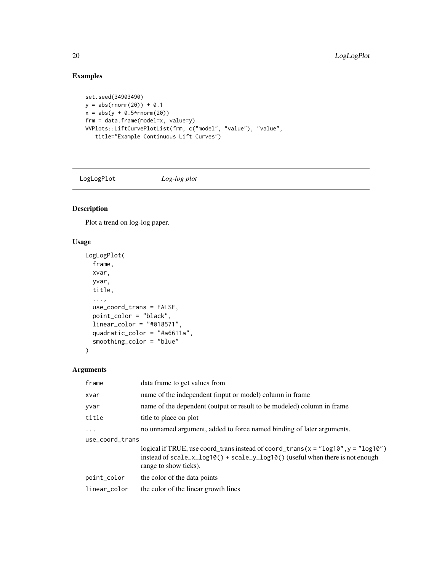#### Examples

```
set.seed(34903490)
y = abs(rnorm(20)) + 0.1x = abs(y + 0.5*rnorm(20))frm = data.frame(model=x, value=y)
WVPlots::LiftCurvePlotList(frm, c("model", "value"), "value",
   title="Example Continuous Lift Curves")
```
LogLogPlot *Log-log plot*

#### Description

Plot a trend on log-log paper.

#### Usage

```
LogLogPlot(
  frame,
  xvar,
  yvar,
  title,
  ...,
  use_coord_trans = FALSE,
  point_color = "black",
  linear_color = "#018571",
  quadratic_color = "#a6611a",
  smoothing_color = "blue"
)
```

| frame           | data frame to get values from                                                                                                                                                                        |  |
|-----------------|------------------------------------------------------------------------------------------------------------------------------------------------------------------------------------------------------|--|
| xvar            | name of the independent (input or model) column in frame                                                                                                                                             |  |
| yvar            | name of the dependent (output or result to be modeled) column in frame                                                                                                                               |  |
| title           | title to place on plot                                                                                                                                                                               |  |
| $\cdots$        | no unnamed argument, added to force named binding of later arguments.                                                                                                                                |  |
| use_coord_trans |                                                                                                                                                                                                      |  |
|                 | logical if TRUE, use coord_trans instead of coord_trans( $x =$ "log10", $y =$ "log10")<br>instead of $scale_x_log10()$ + $scale_y_log10()$ (useful when there is not enough<br>range to show ticks). |  |
| point_color     | the color of the data points                                                                                                                                                                         |  |
| linear_color    | the color of the linear growth lines                                                                                                                                                                 |  |

<span id="page-19-0"></span>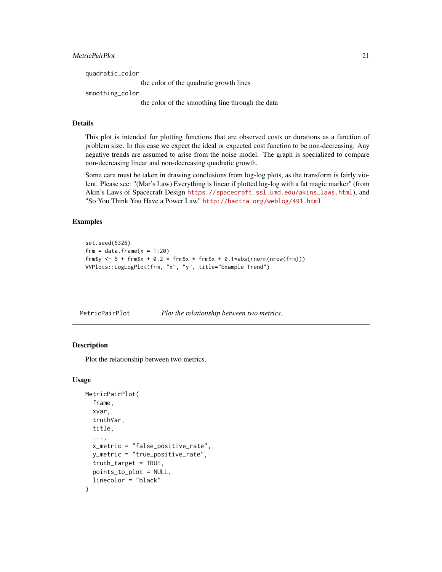#### <span id="page-20-0"></span>MetricPairPlot 21

| quadratic_color                                  |
|--------------------------------------------------|
| the color of the quadratic growth lines          |
| smoothing_color                                  |
| the color of the smoothing line through the data |

#### Details

This plot is intended for plotting functions that are observed costs or durations as a function of problem size. In this case we expect the ideal or expected cost function to be non-decreasing. Any negative trends are assumed to arise from the noise model. The graph is specialized to compare non-decreasing linear and non-decreasing quadratic growth.

Some care must be taken in drawing conclusions from log-log plots, as the transform is fairly violent. Please see: "(Mar's Law) Everything is linear if plotted log-log with a fat magic marker" (from Akin's Laws of Spacecraft Design [https://spacecraft.ssl.umd.edu/akins\\_laws.html](https://spacecraft.ssl.umd.edu/akins_laws.html)), and "So You Think You Have a Power Law" <http://bactra.org/weblog/491.html>.

#### Examples

```
set.seed(5326)
frm = data.frame(x = 1:20)frm$y <- 5 + frm$x + 0.2 * frm$x * frm$x + 0.1*abs(rnorm(nrow(frm)))
WVPlots::LogLogPlot(frm, "x", "y", title="Example Trend")
```
MetricPairPlot *Plot the relationship between two metrics.*

#### Description

Plot the relationship between two metrics.

```
MetricPairPlot(
  frame,
  xvar,
  truthVar,
  title,
  ...,
  x_metric = "false_positive_rate",
  y_metric = "true_positive_rate",
  truth_target = TRUE,
  points_to_plot = NULL,
  linecolor = "black"
)
```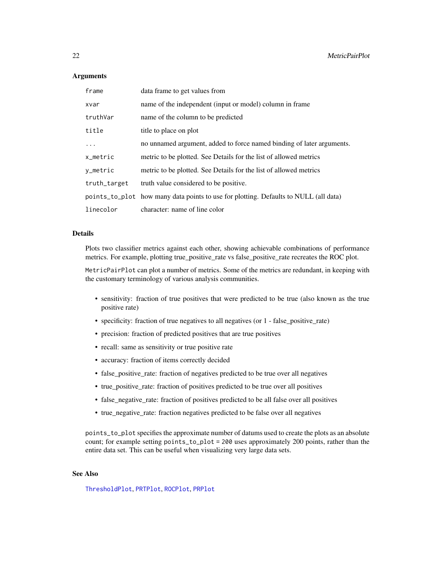#### <span id="page-21-0"></span>**Arguments**

| frame        | data frame to get values from                                                        |
|--------------|--------------------------------------------------------------------------------------|
| xvar         | name of the independent (input or model) column in frame                             |
| truthVar     | name of the column to be predicted                                                   |
| title        | title to place on plot                                                               |
| $\ddots$     | no unnamed argument, added to force named binding of later arguments.                |
| x_metric     | metric to be plotted. See Details for the list of allowed metrics                    |
| y_metric     | metric to be plotted. See Details for the list of allowed metrics                    |
| truth_target | truth value considered to be positive.                                               |
|              | points_to_plot how many data points to use for plotting. Defaults to NULL (all data) |
| linecolor    | character: name of line color                                                        |

#### **Details**

Plots two classifier metrics against each other, showing achievable combinations of performance metrics. For example, plotting true\_positive\_rate vs false\_positive\_rate recreates the ROC plot.

MetricPairPlot can plot a number of metrics. Some of the metrics are redundant, in keeping with the customary terminology of various analysis communities.

- sensitivity: fraction of true positives that were predicted to be true (also known as the true positive rate)
- specificity: fraction of true negatives to all negatives (or 1 false\_positive\_rate)
- precision: fraction of predicted positives that are true positives
- recall: same as sensitivity or true positive rate
- accuracy: fraction of items correctly decided
- false\_positive\_rate: fraction of negatives predicted to be true over all negatives
- true\_positive\_rate: fraction of positives predicted to be true over all positives
- false\_negative\_rate: fraction of positives predicted to be all false over all positives
- true\_negative\_rate: fraction negatives predicted to be false over all negatives

points\_to\_plot specifies the approximate number of datums used to create the plots as an absolute count; for example setting points\_to\_plot = 200 uses approximately 200 points, rather than the entire data set. This can be useful when visualizing very large data sets.

#### See Also

[ThresholdPlot](#page-58-1), [PRTPlot](#page-36-1), [ROCPlot](#page-38-1), [PRPlot](#page-35-1)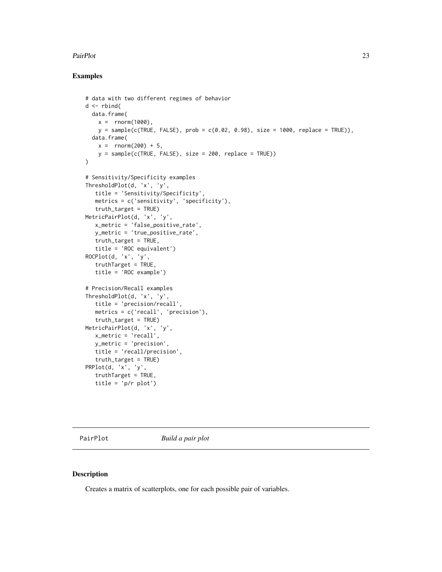#### <span id="page-22-0"></span>PairPlot 23

#### Examples

```
# data with two different regimes of behavior
d <- rbind(
  data.frame(
   x = rnorm(1000),
   y = sample(c(TRUE, FALSE), prob = c(0.02, 0.98), size = 1000, replace = TRUE)),data.frame(
   x = rnorm(200) + 5,
   y = sample(c(TRUE, FALSE), size = 200, replace = TRUE))\lambda# Sensitivity/Specificity examples
ThresholdPlot(d, 'x', 'y',
   title = 'Sensitivity/Specificity',
  metrics = c('sensitivity', 'specificity'),
  truth_target = TRUE)
MetricPairPlot(d, 'x', 'y',
   x_metric = 'false_positive_rate',
  y_metric = 'true_positive_rate',
  truth_target = TRUE,
  title = 'ROC equivalent')
ROCPlot(d, 'x', 'y',
  truthTarget = TRUE,
   title = 'ROC example')
# Precision/Recall examples
ThresholdPlot(d, 'x', 'y',
  title = 'precision/recall',
   metrics = c('recall', 'precision'),
  truth_target = TRUE)
MetricPairPlot(d, 'x', 'y',
  x_metric = 'recall',
  y_metric = 'precision',
  title = 'recall/precision',
  truth_target = TRUE)
PRPlot(d, 'x', 'y',
  truthTarget = TRUE,
   title = 'p/r plot')
```
PairPlot *Build a pair plot*

#### Description

Creates a matrix of scatterplots, one for each possible pair of variables.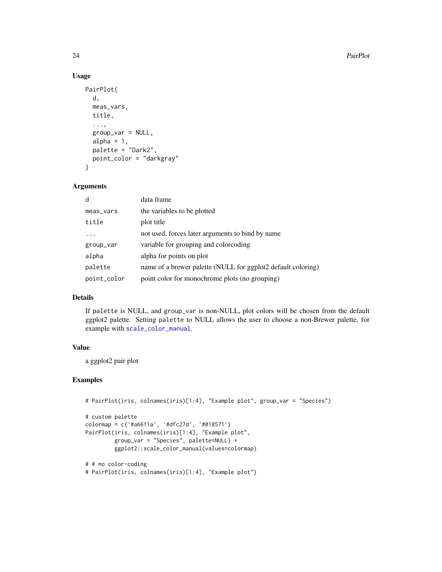#### Usage

```
PairPlot(
  d,
  meas_vars,
  title,
  ...,
  group_var = NULL,
  alpha = 1,
  palette = "Dark2",
  point_color = "darkgray"
\mathcal{L}
```
#### Arguments

| d           | data frame                                                   |
|-------------|--------------------------------------------------------------|
| meas_vars   | the variables to be plotted                                  |
| title       | plot title                                                   |
|             | not used, forces later arguments to bind by name             |
| group_var   | variable for grouping and colorcoding                        |
| alpha       | alpha for points on plot                                     |
| palette     | name of a brewer palette (NULL for ggplot2 default coloring) |
| point_color | point color for monochrome plots (no grouping)               |

#### Details

If palette is NULL, and group\_var is non-NULL, plot colors will be chosen from the default ggplot2 palette. Setting palette to NULL allows the user to choose a non-Brewer palette, for example with [scale\\_color\\_manual](#page-0-0).

#### Value

a ggplot2 pair plot

```
# PairPlot(iris, colnames(iris)[1:4], "Example plot", group_var = "Species")
# custom palette
colormap = c('#a6611a', '#dfc27d', '#018571')
PairPlot(iris, colnames(iris)[1:4], "Example plot",
         group_var = "Species", palette=NULL) +
        ggplot2::scale_color_manual(values=colormap)
# # no color-coding
# PairPlot(iris, colnames(iris)[1:4], "Example plot")
```
<span id="page-23-0"></span>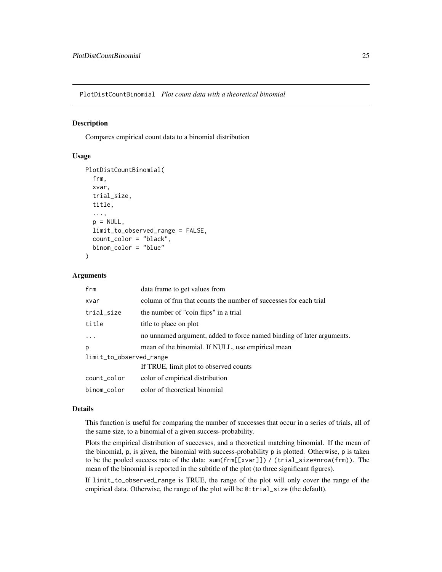<span id="page-24-0"></span>PlotDistCountBinomial *Plot count data with a theoretical binomial*

#### Description

Compares empirical count data to a binomial distribution

#### Usage

```
PlotDistCountBinomial(
  frm,
 xvar,
  trial_size,
 title,
  ...,
  p = NULL,limit_to_observed_range = FALSE,
  count_color = "black",
 binom_color = "blue"
)
```
#### Arguments

| frm                     | data frame to get values from                                         |  |
|-------------------------|-----------------------------------------------------------------------|--|
| xvar                    | column of frm that counts the number of successes for each trial      |  |
| trial_size              | the number of "coin flips" in a trial                                 |  |
| title                   | title to place on plot                                                |  |
|                         | no unnamed argument, added to force named binding of later arguments. |  |
| p                       | mean of the binomial. If NULL, use empirical mean                     |  |
| limit_to_observed_range |                                                                       |  |
|                         | If TRUE, limit plot to observed counts                                |  |
| count_color             | color of empirical distribution                                       |  |
| binom color             | color of theoretical binomial                                         |  |

#### Details

This function is useful for comparing the number of successes that occur in a series of trials, all of the same size, to a binomial of a given success-probability.

Plots the empirical distribution of successes, and a theoretical matching binomial. If the mean of the binomial, p, is given, the binomial with success-probability p is plotted. Otherwise, p is taken to be the pooled success rate of the data: sum(frm[[xvar]]) / (trial\_size\*nrow(frm)). The mean of the binomial is reported in the subtitle of the plot (to three significant figures).

If limit\_to\_observed\_range is TRUE, the range of the plot will only cover the range of the empirical data. Otherwise, the range of the plot will be 0: trial\_size (the default).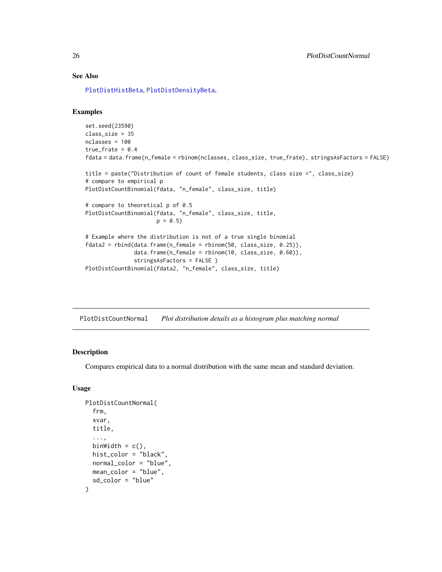#### See Also

[PlotDistHistBeta](#page-29-1), [PlotDistDensityBeta](#page-26-1),

#### Examples

```
set.seed(23590)
class_size = 35
nclasses = 100
true_frate = 0.4fdata = data.frame(n_female = rbinom(nclasses, class_size, true_frate), stringsAsFactors = FALSE)
title = paste("Distribution of count of female students, class size =", class_size)
# compare to empirical p
PlotDistCountBinomial(fdata, "n_female", class_size, title)
# compare to theoretical p of 0.5
PlotDistCountBinomial(fdata, "n_female", class_size, title,
                      p = 0.5# Example where the distribution is not of a true single binomial
fdata2 = rbind(data.frame(n_female = rbinom(50, class_size, 0.25)),
               data.frame(n_female = rbinom(10, class_size, 0.60)),
               stringsAsFactors = FALSE )
PlotDistCountBinomial(fdata2, "n_female", class_size, title)
```
PlotDistCountNormal *Plot distribution details as a histogram plus matching normal*

#### Description

Compares empirical data to a normal distribution with the same mean and standard deviation.

```
PlotDistCountNormal(
  frm,
  xvar,
  title,
  ...,
  binWidth = c().
  hist_color = "black",
  normal_color = "blue",
 mean_color = "blue",
  sd_color = "blue"
)
```
<span id="page-25-0"></span>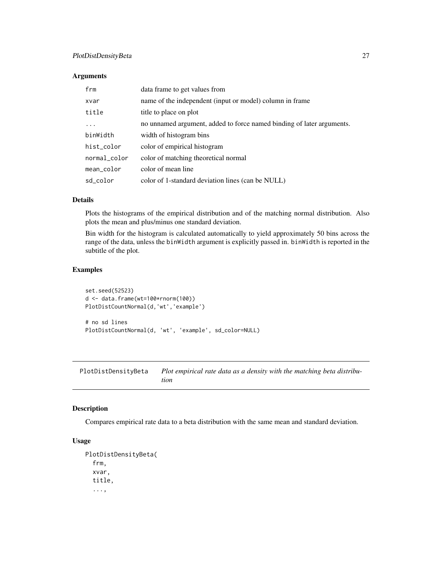#### <span id="page-26-0"></span>PlotDistDensityBeta 27

#### Arguments

| frm          | data frame to get values from                                         |
|--------------|-----------------------------------------------------------------------|
| xvar         | name of the independent (input or model) column in frame              |
| title        | title to place on plot                                                |
| $\ddotsc$    | no unnamed argument, added to force named binding of later arguments. |
| binWidth     | width of histogram bins                                               |
| hist_color   | color of empirical histogram                                          |
| normal_color | color of matching theoretical normal                                  |
| mean_color   | color of mean line                                                    |
| sd color     | color of 1-standard deviation lines (can be NULL)                     |

#### Details

Plots the histograms of the empirical distribution and of the matching normal distribution. Also plots the mean and plus/minus one standard deviation.

Bin width for the histogram is calculated automatically to yield approximately 50 bins across the range of the data, unless the binWidth argument is explicitly passed in. binWidth is reported in the subtitle of the plot.

#### Examples

```
set.seed(52523)
d <- data.frame(wt=100*rnorm(100))
PlotDistCountNormal(d,'wt','example')
# no sd lines
PlotDistCountNormal(d, 'wt', 'example', sd_color=NULL)
```
<span id="page-26-1"></span>PlotDistDensityBeta *Plot empirical rate data as a density with the matching beta distribution*

#### Description

Compares empirical rate data to a beta distribution with the same mean and standard deviation.

```
PlotDistDensityBeta(
  frm,
  xvar,
  title,
  ...,
```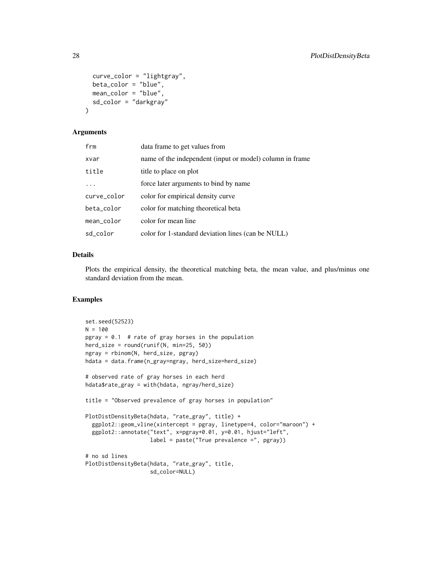```
curve_color = "lightgray",
 beta_color = "blue",
 mean_color = "blue",
 sd_color = "darkgray"
\lambda
```
#### Arguments

| frm         | data frame to get values from                            |
|-------------|----------------------------------------------------------|
| xvar        | name of the independent (input or model) column in frame |
| title       | title to place on plot                                   |
|             | force later arguments to bind by name                    |
| curve_color | color for empirical density curve                        |
| beta_color  | color for matching theoretical beta                      |
| mean_color  | color for mean line                                      |
| sd_color    | color for 1-standard deviation lines (can be NULL)       |

#### Details

Plots the empirical density, the theoretical matching beta, the mean value, and plus/minus one standard deviation from the mean.

```
set.seed(52523)
N = 100pgray = 0.1 # rate of gray horses in the population
herd_size = round(runif(N, min=25, 50))ngray = rbinom(N, herd_size, pgray)
hdata = data.frame(n_gray=ngray, herd_size=herd_size)
# observed rate of gray horses in each herd
hdata$rate_gray = with(hdata, ngray/herd_size)
title = "Observed prevalence of gray horses in population"
PlotDistDensityBeta(hdata, "rate_gray", title) +
  ggplot2::geom_vline(xintercept = pgray, linetype=4, color="maroon") +
  ggplot2::annotate("text", x=pgray+0.01, y=0.01, hjust="left",
                    label = paste("True prevalence =", pgray))
# no sd lines
PlotDistDensityBeta(hdata, "rate_gray", title,
                   sd_color=NULL)
```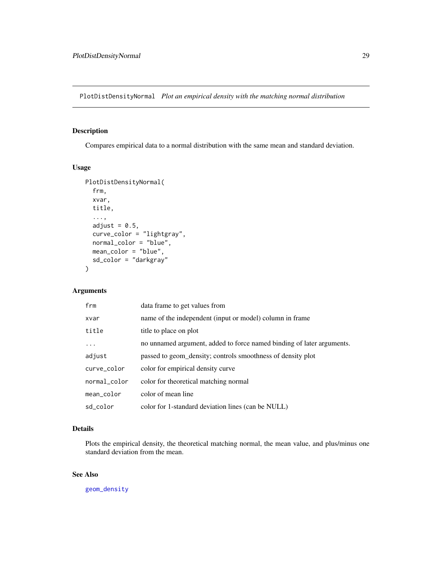<span id="page-28-0"></span>PlotDistDensityNormal *Plot an empirical density with the matching normal distribution*

#### Description

Compares empirical data to a normal distribution with the same mean and standard deviation.

#### Usage

```
PlotDistDensityNormal(
  frm,
  xvar,
  title,
  ...,
  adjust = 0.5,
  curve_color = "lightgray",
 normal_color = "blue",
 mean_color = "blue",
  sd_color = "darkgray"
)
```
#### Arguments

| frm          | data frame to get values from                                         |
|--------------|-----------------------------------------------------------------------|
| xvar         | name of the independent (input or model) column in frame              |
| title        | title to place on plot                                                |
| $\cdots$     | no unnamed argument, added to force named binding of later arguments. |
| adjust       | passed to geom_density; controls smoothness of density plot           |
| curve_color  | color for empirical density curve                                     |
| normal_color | color for theoretical matching normal                                 |
| mean_color   | color of mean line                                                    |
| sd_color     | color for 1-standard deviation lines (can be NULL)                    |

#### Details

Plots the empirical density, the theoretical matching normal, the mean value, and plus/minus one standard deviation from the mean.

#### See Also

[geom\\_density](#page-0-0)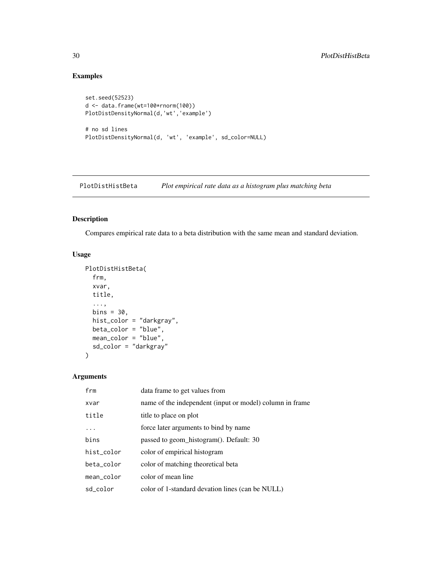#### Examples

```
set.seed(52523)
d <- data.frame(wt=100*rnorm(100))
PlotDistDensityNormal(d,'wt','example')
# no sd lines
PlotDistDensityNormal(d, 'wt', 'example', sd_color=NULL)
```
<span id="page-29-1"></span>PlotDistHistBeta *Plot empirical rate data as a histogram plus matching beta*

#### Description

Compares empirical rate data to a beta distribution with the same mean and standard deviation.

#### Usage

```
PlotDistHistBeta(
  frm,
  xvar,
 title,
  ...,
 bins = 30,
 hist_color = "darkgray",
 beta_color = "blue",
 mean_color = "blue",
 sd_color = "darkgray"
)
```

| frm        | data frame to get values from                            |
|------------|----------------------------------------------------------|
| xvar       | name of the independent (input or model) column in frame |
| title      | title to place on plot                                   |
| .          | force later arguments to bind by name                    |
| bins       | passed to geom histogram(). Default: 30                  |
| hist color | color of empirical histogram                             |
| beta color | color of matching theoretical beta                       |
| mean color | color of mean line                                       |
| sd color   | color of 1-standard devation lines (can be NULL)         |

<span id="page-29-0"></span>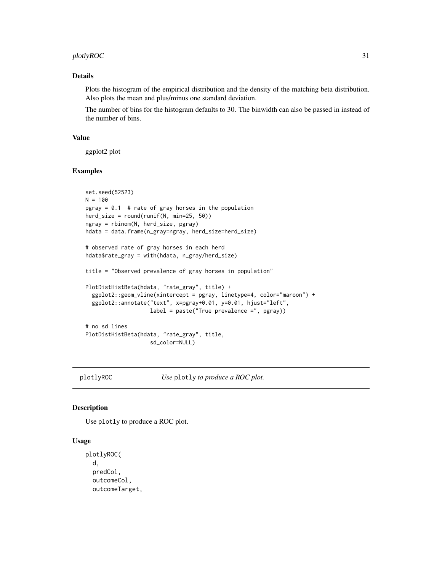#### <span id="page-30-0"></span> $p$ lotlyROC  $\qquad \qquad \qquad$  31

#### Details

Plots the histogram of the empirical distribution and the density of the matching beta distribution. Also plots the mean and plus/minus one standard deviation.

The number of bins for the histogram defaults to 30. The binwidth can also be passed in instead of the number of bins.

#### Value

ggplot2 plot

#### Examples

```
set.seed(52523)
N = 100pgray = 0.1 # rate of gray horses in the population
herd_size = round(runif(N, min=25, 50))ngray = rbinom(N, herd_size, pgray)
hdata = data.frame(n_gray=ngray, herd_size=herd_size)
# observed rate of gray horses in each herd
hdata$rate_gray = with(hdata, n_gray/herd_size)
title = "Observed prevalence of gray horses in population"
PlotDistHistBeta(hdata, "rate_gray", title) +
  ggplot2::geom_vline(xintercept = pgray, linetype=4, color="maroon") +
  ggplot2::annotate("text", x=pgray+0.01, y=0.01, hjust="left",
                    label = paste("True prevalence =", pgray))
# no sd lines
PlotDistHistBeta(hdata, "rate_gray", title,
                    sd_color=NULL)
```
plotlyROC *Use* plotly *to produce a ROC plot.*

#### **Description**

Use plotly to produce a ROC plot.

```
plotlyROC(
  d,
  predCol,
  outcomeCol,
  outcomeTarget,
```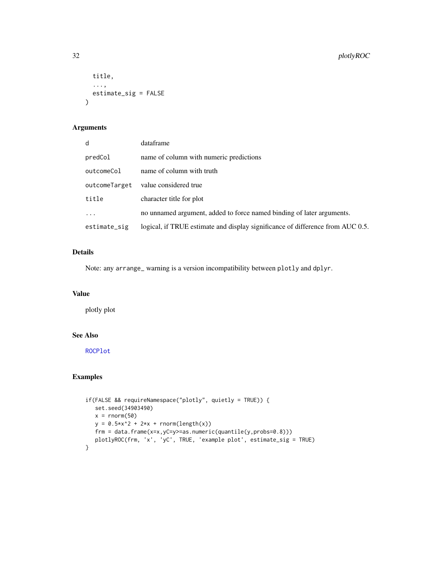```
title,
  ...,
  estimate_sig = FALSE
\mathcal{L}
```
#### Arguments

| d             | dataframe                                                                      |
|---------------|--------------------------------------------------------------------------------|
| predCol       | name of column with numeric predictions                                        |
| outcomeCol    | name of column with truth                                                      |
| outcomeTarget | value considered true                                                          |
| title         | character title for plot                                                       |
|               | no unnamed argument, added to force named binding of later arguments.          |
| estimate_sig  | logical, if TRUE estimate and display significance of difference from AUC 0.5. |

#### Details

Note: any arrange\_ warning is a version incompatibility between plotly and dplyr.

#### Value

plotly plot

#### See Also

[ROCPlot](#page-38-1)

```
if(FALSE && requireNamespace("plotly", quietly = TRUE)) {
  set.seed(34903490)
  x = rnorm(50)y = 0.5*x^2 + 2*x + rnorm(length(x))frm = data.frame(x=x,yC=y>=as.numeric(quantile(y,probs=0.8)))
  plotlyROC(frm, 'x', 'yC', TRUE, 'example plot', estimate_sig = TRUE)
}
```
<span id="page-31-0"></span>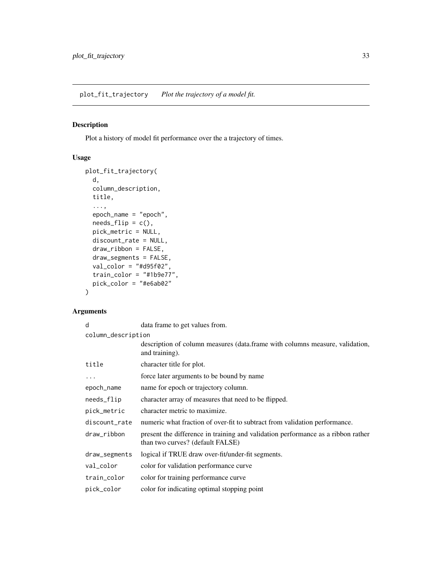#### <span id="page-32-1"></span><span id="page-32-0"></span>Description

Plot a history of model fit performance over the a trajectory of times.

#### Usage

```
plot_fit_trajectory(
 d,
  column_description,
 title,
  ...,
  epoch_name = "epoch",
 needs_flip = c(),
 pick_metric = NULL,
 discount_rate = NULL,
  draw_ribbon = FALSE,
  draw_segments = FALSE,
  val_color = "#d95f02",
  train_color = "#1b9e77",
 pick_color = "#e6ab02"
\mathcal{L}
```

| d                  | data frame to get values from.                                                                                       |
|--------------------|----------------------------------------------------------------------------------------------------------------------|
| column_description |                                                                                                                      |
|                    | description of column measures (data.frame with columns measure, validation,<br>and training).                       |
| title              | character title for plot.                                                                                            |
| .                  | force later arguments to be bound by name                                                                            |
| epoch_name         | name for epoch or trajectory column.                                                                                 |
| needs_flip         | character array of measures that need to be flipped.                                                                 |
| pick_metric        | character metric to maximize.                                                                                        |
| discount_rate      | numeric what fraction of over-fit to subtract from validation performance.                                           |
| draw_ribbon        | present the difference in training and validation performance as a ribbon rather<br>than two curves? (default FALSE) |
| draw_segments      | logical if TRUE draw over-fit/under-fit segments.                                                                    |
| val_color          | color for validation performance curve                                                                               |
| train color        | color for training performance curve                                                                                 |
| pick_color         | color for indicating optimal stopping point                                                                          |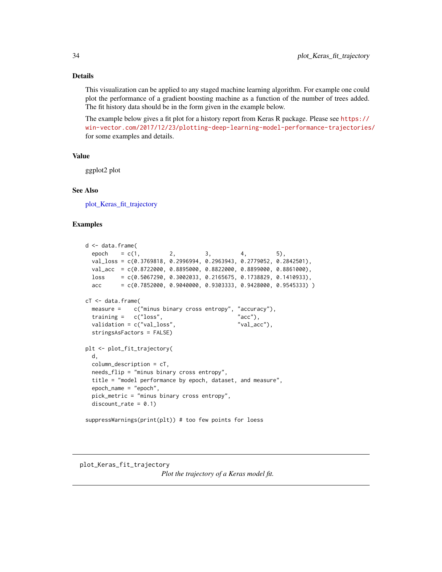#### <span id="page-33-0"></span>Details

This visualization can be applied to any staged machine learning algorithm. For example one could plot the performance of a gradient boosting machine as a function of the number of trees added. The fit history data should be in the form given in the example below.

The example below gives a fit plot for a history report from Keras R package. Please see [https://](https://win-vector.com/2017/12/23/plotting-deep-learning-model-performance-trajectories/) [win-vector.com/2017/12/23/plotting-deep-learning-model-performance-trajectories/](https://win-vector.com/2017/12/23/plotting-deep-learning-model-performance-trajectories/) for some examples and details.

#### Value

ggplot2 plot

#### See Also

[plot\\_Keras\\_fit\\_trajectory](#page-33-1)

#### Examples

```
d <- data.frame(
 epoch = c(1, 2, 3, 4, 5),
 val_loss = c(0.3769818, 0.2996994, 0.2963943, 0.2779052, 0.2842501),
 val_acc = c(0.8722000, 0.8895000, 0.8822000, 0.8899000, 0.8861000),
 loss = c(0.5067290, 0.3002033, 0.2165675, 0.1738829, 0.1410933),
 acc = c(0.7852000, 0.9040000, 0.9303333, 0.9428000, 0.9545333) )cT <- data.frame(
 measure = c("minus binary cross entropy", "accuracy"),
 training = c("loss", "acc"),
 validation = c("val_loss", "val_acc"),
 stringsAsFactors = FALSE)
plt <- plot_fit_trajectory(
 d,
 column_description = cT,
 needs_flip = "minus binary cross entropy",
 title = "model performance by epoch, dataset, and measure",
 epoch_name = "epoch",
 pick_metric = "minus binary cross entropy",
 discount_rate = 0.1)suppressWarnings(print(plt)) # too few points for loess
```
### <span id="page-33-1"></span>plot\_Keras\_fit\_trajectory

*Plot the trajectory of a Keras model fit.*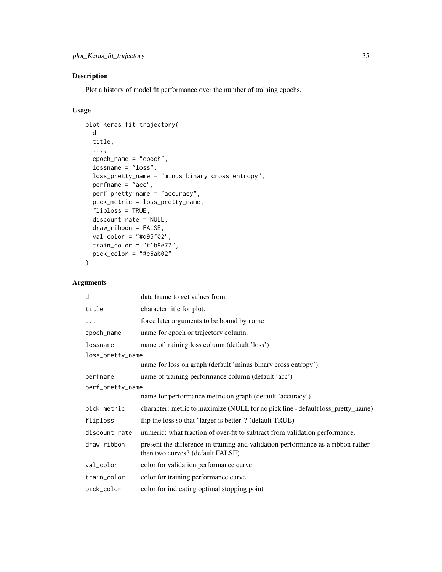#### Description

Plot a history of model fit performance over the number of training epochs.

#### Usage

```
plot_Keras_fit_trajectory(
 d,
 title,
  ...,
 epoch_name = "epoch",
 lossname = "loss",
 loss_pretty_name = "minus binary cross entropy",
 perframe = "acc",perf_pretty_name = "accuracy",
 pick_metric = loss_pretty_name,
 fliploss = TRUE,
 discount_rate = NULL,
 draw_ribbon = FALSE,
 val_color = "#d95f02",
 train_color = "#1b9e77",
 pick_color = "#e6ab02"
```
#### Arguments

 $\mathcal{L}$ 

| d                | data frame to get values from.                                                                                       |  |
|------------------|----------------------------------------------------------------------------------------------------------------------|--|
| title            | character title for plot.                                                                                            |  |
| $\cdots$         | force later arguments to be bound by name                                                                            |  |
| epoch_name       | name for epoch or trajectory column.                                                                                 |  |
| lossname         | name of training loss column (default 'loss')                                                                        |  |
| loss_pretty_name |                                                                                                                      |  |
|                  | name for loss on graph (default 'minus binary cross entropy')                                                        |  |
| perfname         | name of training performance column (default 'acc')                                                                  |  |
| perf_pretty_name |                                                                                                                      |  |
|                  | name for performance metric on graph (default 'accuracy')                                                            |  |
| pick_metric      | character: metric to maximize (NULL for no pick line - default loss_pretty_name)                                     |  |
| fliploss         | flip the loss so that "larger is better"? (default TRUE)                                                             |  |
| discount_rate    | numeric: what fraction of over-fit to subtract from validation performance.                                          |  |
| draw_ribbon      | present the difference in training and validation performance as a ribbon rather<br>than two curves? (default FALSE) |  |
| val_color        | color for validation performance curve                                                                               |  |
| train_color      | color for training performance curve                                                                                 |  |
| pick_color       | color for indicating optimal stopping point                                                                          |  |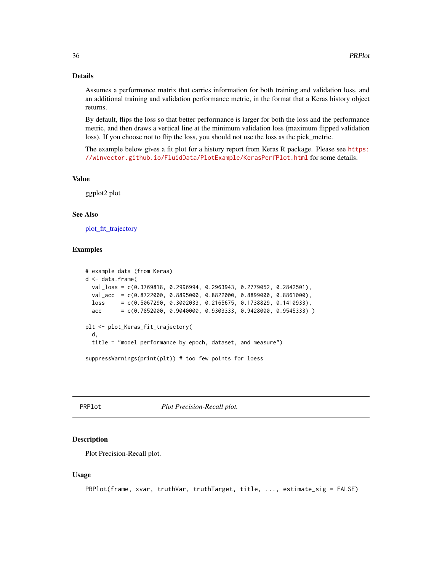#### <span id="page-35-0"></span>Details

Assumes a performance matrix that carries information for both training and validation loss, and an additional training and validation performance metric, in the format that a Keras history object returns.

By default, flips the loss so that better performance is larger for both the loss and the performance metric, and then draws a vertical line at the minimum validation loss (maximum flipped validation loss). If you choose not to flip the loss, you should not use the loss as the pick\_metric.

The example below gives a fit plot for a history report from Keras R package. Please see [https:](https://winvector.github.io/FluidData/PlotExample/KerasPerfPlot.html) [//winvector.github.io/FluidData/PlotExample/KerasPerfPlot.html](https://winvector.github.io/FluidData/PlotExample/KerasPerfPlot.html) for some details.

#### Value

ggplot2 plot

#### See Also

[plot\\_fit\\_trajectory](#page-32-1)

#### Examples

```
# example data (from Keras)
d <- data.frame(
 val_loss = c(0.3769818, 0.2996994, 0.2963943, 0.2779052, 0.2842501),
 val_acc = c(0.8722000, 0.8895000, 0.8822000, 0.8899000, 0.8861000),
 loss = c(0.5067290, 0.3002033, 0.2165675, 0.1738829, 0.1410933),acc = c(0.7852000, 0.9040000, 0.9303333, 0.9428000, 0.9545333) )plt <- plot_Keras_fit_trajectory(
 d,
 title = "model performance by epoch, dataset, and measure")
suppressWarnings(print(plt)) # too few points for loess
```
<span id="page-35-1"></span>

PRPlot *Plot Precision-Recall plot.*

#### Description

Plot Precision-Recall plot.

```
PRPlot(frame, xvar, truthVar, truthTarget, title, ..., estimate_sig = FALSE)
```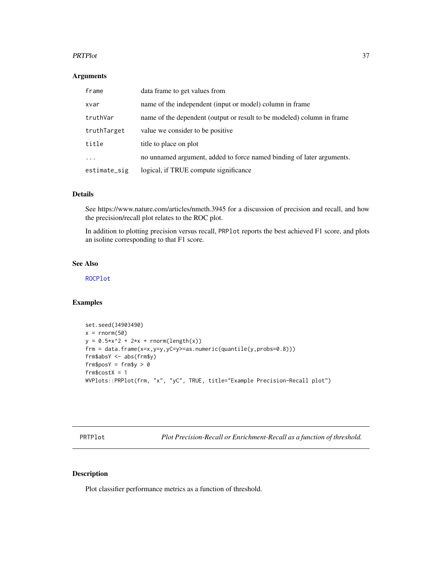#### <span id="page-36-0"></span>PRTPlot 37

#### Arguments

| frame        | data frame to get values from                                          |
|--------------|------------------------------------------------------------------------|
| xvar         | name of the independent (input or model) column in frame               |
| truthVar     | name of the dependent (output or result to be modeled) column in frame |
| truthTarget  | value we consider to be positive.                                      |
| title        | title to place on plot                                                 |
| $\cdots$     | no unnamed argument, added to force named binding of later arguments.  |
| estimate_sig | logical, if TRUE compute significance                                  |

#### Details

See https://www.nature.com/articles/nmeth.3945 for a discussion of precision and recall, and how the precision/recall plot relates to the ROC plot.

In addition to plotting precision versus recall, PRPlot reports the best achieved F1 score, and plots an isoline corresponding to that F1 score.

#### See Also

[ROCPlot](#page-38-1)

#### Examples

```
set.seed(34903490)
x = \text{rnorm}(50)y = 0.5*x^2 + 2*x + rnorm(length(x))frm = data.frame(x=x,y=y,yC=y>=as.numeric(quantile(y,probs=0.8)))
frm$absY <- abs(frm$y)
frm$posY = frm$y > 0
frm$costX = 1WVPlots::PRPlot(frm, "x", "yC", TRUE, title="Example Precision-Recall plot")
```
<span id="page-36-1"></span>PRTPlot *Plot Precision-Recall or Enrichment-Recall as a function of threshold.*

#### Description

Plot classifier performance metrics as a function of threshold.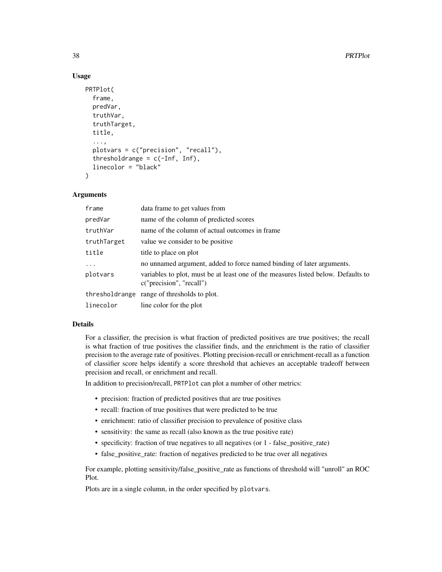#### Usage

```
PRTPlot(
  frame,
  predVar,
  truthVar,
  truthTarget,
  title,
  ...,
  plotvars = c("precision", "recall"),
  thresholdrange = c(-Inf, Inf),
  linecolor = "black"
)
```
#### Arguments

| frame       | data frame to get values from                                                                                 |
|-------------|---------------------------------------------------------------------------------------------------------------|
| predVar     | name of the column of predicted scores                                                                        |
| truthVar    | name of the column of actual outcomes in frame                                                                |
| truthTarget | value we consider to be positive.                                                                             |
| title       | title to place on plot                                                                                        |
| $\cdots$    | no unnamed argument, added to force named binding of later arguments.                                         |
| plotvars    | variables to plot, must be at least one of the measures listed below. Defaults to<br>c("precision", "recall") |
|             | thresholdrange range of thresholds to plot.                                                                   |
| linecolor   | line color for the plot                                                                                       |

#### Details

For a classifier, the precision is what fraction of predicted positives are true positives; the recall is what fraction of true positives the classifier finds, and the enrichment is the ratio of classifier precision to the average rate of positives. Plotting precision-recall or enrichment-recall as a function of classifier score helps identify a score threshold that achieves an acceptable tradeoff between precision and recall, or enrichment and recall.

In addition to precision/recall, PRTPlot can plot a number of other metrics:

- precision: fraction of predicted positives that are true positives
- recall: fraction of true positives that were predicted to be true
- enrichment: ratio of classifier precision to prevalence of positive class
- sensitivity: the same as recall (also known as the true positive rate)
- specificity: fraction of true negatives to all negatives (or 1 false\_positive\_rate)
- false positive rate: fraction of negatives predicted to be true over all negatives

For example, plotting sensitivity/false\_positive\_rate as functions of threshold will "unroll" an ROC Plot.

Plots are in a single column, in the order specified by plotvars.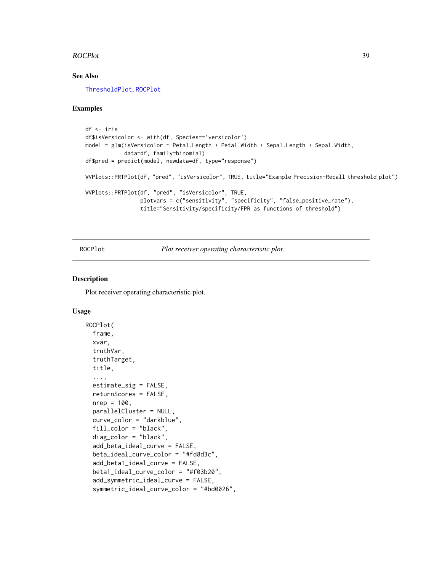#### <span id="page-38-0"></span>ROCPlot 39

#### See Also

[ThresholdPlot](#page-58-1), [ROCPlot](#page-38-1)

#### Examples

```
df <- iris
df$isVersicolor <- with(df, Species=='versicolor')
model = glm(isVersicolor ~ Petal.Length + Petal.Width + Sepal.Length + Sepal.Width,
            data=df, family=binomial)
df$pred = predict(model, newdata=df, type="response")
WVPlots::PRTPlot(df, "pred", "isVersicolor", TRUE, title="Example Precision-Recall threshold plot")
WVPlots::PRTPlot(df, "pred", "isVersicolor", TRUE,
                 plotvars = c("sensitivity", "specificity", "false_positive_rate"),
                 title="Sensitivity/specificity/FPR as functions of threshold")
```
<span id="page-38-1"></span>

ROCPlot *Plot receiver operating characteristic plot.*

#### Description

Plot receiver operating characteristic plot.

```
ROCPlot(
  frame,
  xvar,
  truthVar,
  truthTarget,
  title,
  ...,
  estimate_sig = FALSE,
  returnScores = FALSE,
  nrep = 100,
  parallelCluster = NULL,
  curve_color = "darkblue",
  fill_color = "black",
  diag_color = "black",
  add_beta_ideal_curve = FALSE,
  beta_ideal_curve_color = "#fd8d3c",
  add_beta1_ideal_curve = FALSE,
  beta1_ideal_curve_color = "#f03b20",
  add_symmetric_ideal_curve = FALSE,
  symmetric_ideal_curve_color = "#bd0026",
```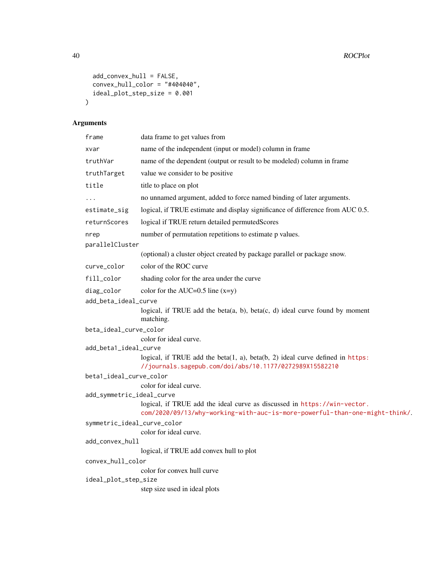```
add\_convex\_hull = FALSE,convex\_hull\_color = "#404040",ideal_plot_step_size = 0.001
\lambda
```

| frame                       | data frame to get values from                                                                                                                           |  |
|-----------------------------|---------------------------------------------------------------------------------------------------------------------------------------------------------|--|
| xvar                        | name of the independent (input or model) column in frame                                                                                                |  |
| truthVar                    | name of the dependent (output or result to be modeled) column in frame                                                                                  |  |
| truthTarget                 | value we consider to be positive                                                                                                                        |  |
| title                       | title to place on plot                                                                                                                                  |  |
| .                           | no unnamed argument, added to force named binding of later arguments.                                                                                   |  |
| estimate_sig                | logical, if TRUE estimate and display significance of difference from AUC 0.5.                                                                          |  |
| returnScores                | logical if TRUE return detailed permutedScores                                                                                                          |  |
| nrep                        | number of permutation repetitions to estimate p values.                                                                                                 |  |
| parallelCluster             |                                                                                                                                                         |  |
|                             | (optional) a cluster object created by package parallel or package snow.                                                                                |  |
| curve_color                 | color of the ROC curve                                                                                                                                  |  |
| fill_color                  | shading color for the area under the curve                                                                                                              |  |
| diag_color                  | color for the AUC=0.5 line $(x=y)$                                                                                                                      |  |
| add_beta_ideal_curve        |                                                                                                                                                         |  |
|                             | logical, if TRUE add the beta(a, b), beta(c, d) ideal curve found by moment<br>matching.                                                                |  |
| beta_ideal_curve_color      |                                                                                                                                                         |  |
|                             | color for ideal curve.                                                                                                                                  |  |
| add_beta1_ideal_curve       | logical, if TRUE add the beta $(1, a)$ , beta $(b, 2)$ ideal curve defined in https:                                                                    |  |
|                             | //journals.sagepub.com/doi/abs/10.1177/0272989X15582210                                                                                                 |  |
| beta1_ideal_curve_color     |                                                                                                                                                         |  |
|                             | color for ideal curve.                                                                                                                                  |  |
| add_symmetric_ideal_curve   |                                                                                                                                                         |  |
|                             | logical, if TRUE add the ideal curve as discussed in https://win-vector.<br>com/2020/09/13/why-working-with-auc-is-more-powerful-than-one-might-think/. |  |
| symmetric_ideal_curve_color |                                                                                                                                                         |  |
|                             | color for ideal curve.                                                                                                                                  |  |
| add_convex_hull             |                                                                                                                                                         |  |
|                             | logical, if TRUE add convex hull to plot                                                                                                                |  |
| convex_hull_color           | color for convex hull curve                                                                                                                             |  |
| ideal_plot_step_size        |                                                                                                                                                         |  |
|                             | step size used in ideal plots                                                                                                                           |  |
|                             |                                                                                                                                                         |  |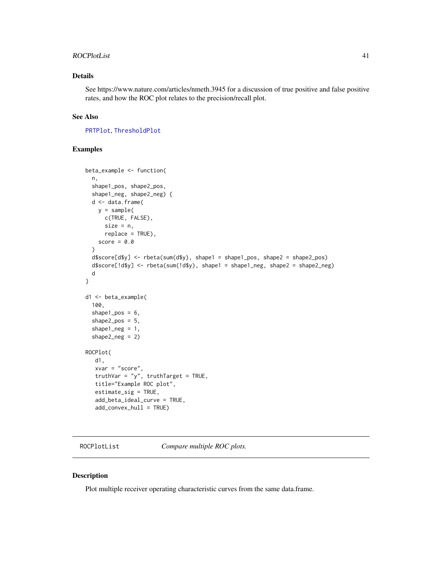#### <span id="page-40-0"></span>ROCPlotList 41

#### Details

See https://www.nature.com/articles/nmeth.3945 for a discussion of true positive and false positive rates, and how the ROC plot relates to the precision/recall plot.

#### See Also

[PRTPlot](#page-36-1), [ThresholdPlot](#page-58-1)

#### Examples

```
beta_example <- function(
 n,
 shape1_pos, shape2_pos,
 shape1_neg, shape2_neg) {
 d <- data.frame(
   y = sample(c(TRUE, FALSE),
     size = n,
     replace = TRUE),
   score = 0.0)
 d$score[d$y] <- rbeta(sum(d$y), shape1 = shape1_pos, shape2 = shape2_pos)
 d$score[!d$y] <- rbeta(sum(!d$y), shape1 = shape1_neg, shape2 = shape2_neg)
 d
}
d1 <- beta_example(
 100,
 shape1_pos = 6,
 shape2_pos = 5,
 shape1_neg = 1,
 shape2_neg = 2)
ROCPlot(
  d1,
  xvar = "score",truthVar = "y", truthTarget = TRUE,
  title="Example ROC plot",
  estimate_sig = TRUE,
  add_beta_ideal_curve = TRUE,
  add_convex_hull = TRUE)
```
ROCPlotList *Compare multiple ROC plots.*

#### Description

Plot multiple receiver operating characteristic curves from the same data.frame.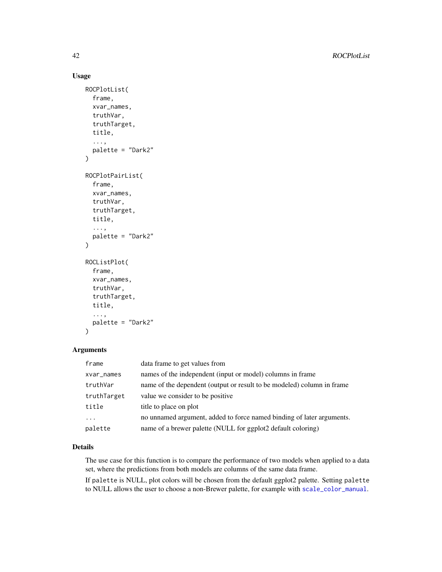#### <span id="page-41-0"></span>Usage

```
ROCPlotList(
  frame,
  xvar_names,
  truthVar,
  truthTarget,
  title,
  ...,
  palette = "Dark2"
\mathcal{L}ROCPlotPairList(
  frame,
  xvar_names,
  truthVar,
  truthTarget,
  title,
  ...,
  palette = "Dark2"
)
ROCListPlot(
  frame,
  xvar_names,
  truthVar,
  truthTarget,
  title,
  ...,
  palette = "Dark2"
\mathcal{L}
```
#### Arguments

| frame       | data frame to get values from                                          |
|-------------|------------------------------------------------------------------------|
| xvar_names  | names of the independent (input or model) columns in frame             |
| truthVar    | name of the dependent (output or result to be modeled) column in frame |
| truthTarget | value we consider to be positive.                                      |
| title       | title to place on plot                                                 |
| $\ddots$ .  | no unnamed argument, added to force named binding of later arguments.  |
| palette     | name of a brewer palette (NULL for ggplot2 default coloring)           |

#### Details

The use case for this function is to compare the performance of two models when applied to a data set, where the predictions from both models are columns of the same data frame.

If palette is NULL, plot colors will be chosen from the default ggplot2 palette. Setting palette to NULL allows the user to choose a non-Brewer palette, for example with [scale\\_color\\_manual](#page-0-0).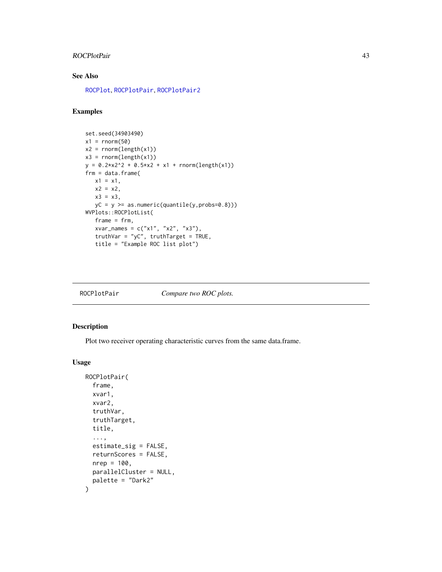#### <span id="page-42-0"></span>ROCPlotPair 43

#### See Also

[ROCPlot](#page-38-1), [ROCPlotPair](#page-42-1), [ROCPlotPair2](#page-44-1)

#### Examples

```
set.seed(34903490)
x1 = rnorm(50)x2 = rnorm(length(x1))x3 = \text{norm}(\text{length}(x1))y = 0.2*x2^2 + 0.5*x2 + x1 + rnorm(length(x1))frm = data.frame(
  x1 = x1,
   x2 = x2,
   x3 = x3,
   yC = y >= as.numeric(quantile(y,probs=0.8)))
WVPlots::ROCPlotList(
   frame = frm,xvar_names = c("x1", "x2", "x3"),
   truthVar = "yC", truthTarget = TRUE,
   title = "Example ROC list plot")
```
<span id="page-42-1"></span>

| ROCPlotPair | Compare two ROC plots. |
|-------------|------------------------|
|-------------|------------------------|

#### Description

Plot two receiver operating characteristic curves from the same data.frame.

```
ROCPlotPair(
  frame,
 xvar1,
 xvar2,
  truthVar,
  truthTarget,
  title,
  ...,
  estimate_sig = FALSE,
 returnScores = FALSE,
 nrep = 100,parallelCluster = NULL,
 palette = "Dark2"
\mathcal{L}
```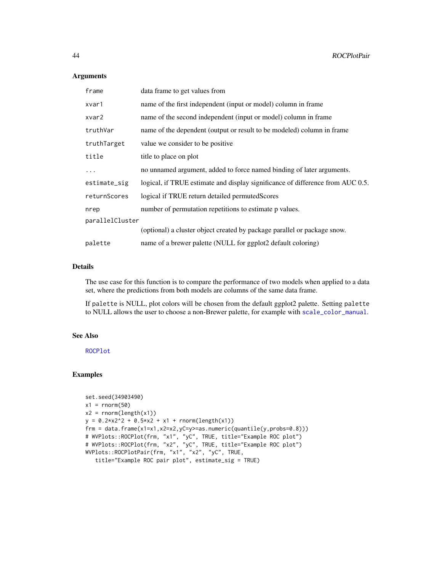#### Arguments

| frame           | data frame to get values from                                                  |
|-----------------|--------------------------------------------------------------------------------|
| xvar1           | name of the first independent (input or model) column in frame                 |
| xvar2           | name of the second independent (input or model) column in frame                |
| truthVar        | name of the dependent (output or result to be modeled) column in frame         |
| truthTarget     | value we consider to be positive.                                              |
| title           | title to place on plot                                                         |
| $\cdots$        | no unnamed argument, added to force named binding of later arguments.          |
| estimate_sig    | logical, if TRUE estimate and display significance of difference from AUC 0.5. |
| returnScores    | logical if TRUE return detailed permutedScores                                 |
| nrep            | number of permutation repetitions to estimate p values.                        |
| parallelCluster |                                                                                |
|                 | (optional) a cluster object created by package parallel or package snow.       |
| palette         | name of a brewer palette (NULL for ggplot2 default coloring)                   |

#### Details

The use case for this function is to compare the performance of two models when applied to a data set, where the predictions from both models are columns of the same data frame.

If palette is NULL, plot colors will be chosen from the default ggplot2 palette. Setting palette to NULL allows the user to choose a non-Brewer palette, for example with [scale\\_color\\_manual](#page-0-0).

#### See Also

[ROCPlot](#page-38-1)

```
set.seed(34903490)
x1 = \text{norm}(50)x2 = rnorm(length(x1))y = 0.2*x2^2 + 0.5*x2 + x1 + \text{norm}(\text{length}(x1))frm = data.frame(x1=x1,x2=x2,yC=y>=as.numeric(quantile(y,probs=0.8)))
# WVPlots::ROCPlot(frm, "x1", "yC", TRUE, title="Example ROC plot")
# WVPlots::ROCPlot(frm, "x2", "yC", TRUE, title="Example ROC plot")
WVPlots::ROCPlotPair(frm, "x1", "x2", "yC", TRUE,
   title="Example ROC pair plot", estimate_sig = TRUE)
```
<span id="page-43-0"></span>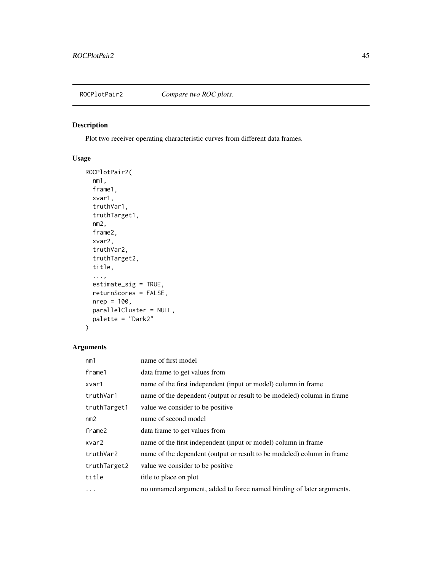<span id="page-44-1"></span><span id="page-44-0"></span>

#### Description

Plot two receiver operating characteristic curves from different data frames.

#### Usage

```
ROCPlotPair2(
  nm1,
  frame1,
  xvar1,
  truthVar1,
  truthTarget1,
  nm2,
  frame2,
  xvar2,
  truthVar2,
  truthTarget2,
  title,
  ...,
  estimate_sig = TRUE,
  returnScores = FALSE,
  nrep = 100,
  parallelCluster = NULL,
  palette = "Dark2"
)
```

| nm1          | name of first model                                                    |
|--------------|------------------------------------------------------------------------|
| frame1       | data frame to get values from                                          |
| xvar1        | name of the first independent (input or model) column in frame         |
| truthVar1    | name of the dependent (output or result to be modeled) column in frame |
| truthTarget1 | value we consider to be positive.                                      |
| nm2          | name of second model                                                   |
| frame2       | data frame to get values from                                          |
| xvar2        | name of the first independent (input or model) column in frame         |
| truthVar2    | name of the dependent (output or result to be modeled) column in frame |
| truthTarget2 | value we consider to be positive.                                      |
| title        | title to place on plot                                                 |
| .            | no unnamed argument, added to force named binding of later arguments.  |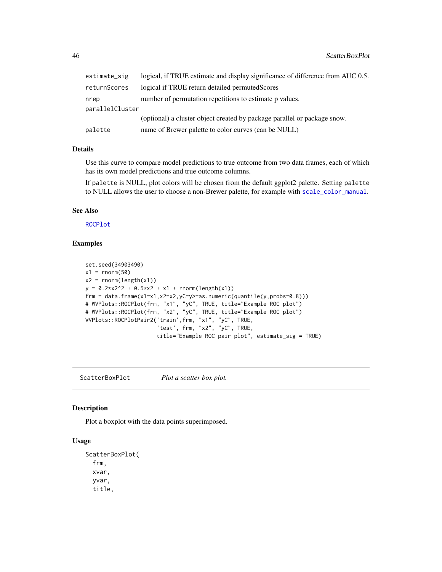<span id="page-45-0"></span>

| estimate_sig    | logical, if TRUE estimate and display significance of difference from AUC 0.5. |
|-----------------|--------------------------------------------------------------------------------|
| returnScores    | logical if TRUE return detailed permuted Scores                                |
| nrep            | number of permutation repetitions to estimate p values.                        |
| parallelCluster |                                                                                |
|                 | (optional) a cluster object created by package parallel or package snow.       |
| palette         | name of Brewer palette to color curves (can be NULL)                           |

#### Details

Use this curve to compare model predictions to true outcome from two data frames, each of which has its own model predictions and true outcome columns.

If palette is NULL, plot colors will be chosen from the default ggplot2 palette. Setting palette to NULL allows the user to choose a non-Brewer palette, for example with [scale\\_color\\_manual](#page-0-0).

#### See Also

[ROCPlot](#page-38-1)

#### Examples

```
set.seed(34903490)
x1 = rnorm(50)x2 = rnorm(length(x1))y = 0.2*x2^2 + 0.5*x2 + x1 + rnorm(length(x1))frm = data.frame(x1=x1,x2=x2,yC=y>=as.numeric(quantile(y,probs=0.8)))
# WVPlots::ROCPlot(frm, "x1", "yC", TRUE, title="Example ROC plot")
# WVPlots::ROCPlot(frm, "x2", "yC", TRUE, title="Example ROC plot")
WVPlots::ROCPlotPair2('train',frm, "x1", "yC", TRUE,
                       'test', frm, "x2", "yC", TRUE,
                      title="Example ROC pair plot", estimate_sig = TRUE)
```
<span id="page-45-1"></span>ScatterBoxPlot *Plot a scatter box plot.*

#### Description

Plot a boxplot with the data points superimposed.

```
ScatterBoxPlot(
  frm,
  xvar,
  yvar,
  title,
```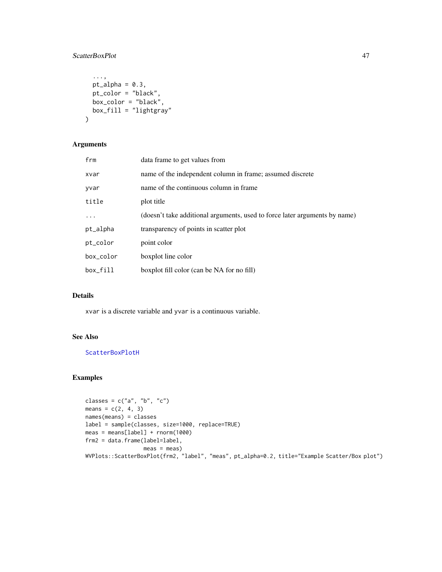#### <span id="page-46-0"></span>ScatterBoxPlot 47

```
...,
 pt\_alpha = 0.3,
 pt_color = "black",
 box_color = "black",
 box_fill = "lightgray"
\mathcal{L}
```
#### Arguments

| frm       | data frame to get values from                                              |
|-----------|----------------------------------------------------------------------------|
| xvar      | name of the independent column in frame; assumed discrete                  |
| yvar      | name of the continuous column in frame                                     |
| title     | plot title                                                                 |
| $\cdots$  | (doesn't take additional arguments, used to force later arguments by name) |
| pt_alpha  | transparency of points in scatter plot                                     |
| pt_color  | point color                                                                |
| box_color | boxplot line color                                                         |
| box fill  | boxplot fill color (can be NA for no fill)                                 |

#### Details

xvar is a discrete variable and yvar is a continuous variable.

#### See Also

**[ScatterBoxPlotH](#page-47-1)** 

```
classes = c("a", "b", "c")means = c(2, 4, 3)names(means) = classes
label = sample(classes, size=1000, replace=TRUE)
meas = means[label] + rnorm(1000)
frm2 = data.frame(label=label,
                 meas = measWVPlots::ScatterBoxPlot(frm2, "label", "meas", pt_alpha=0.2, title="Example Scatter/Box plot")
```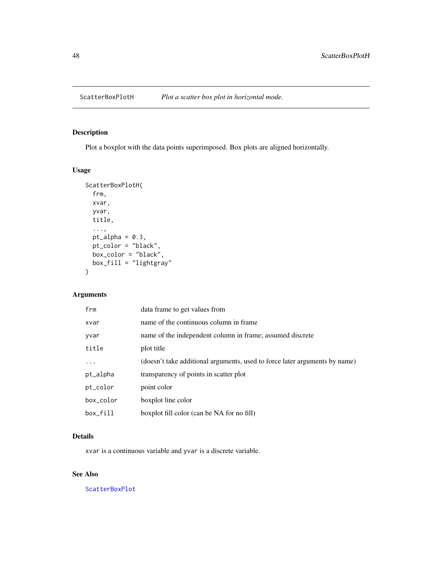<span id="page-47-1"></span><span id="page-47-0"></span>

#### Description

Plot a boxplot with the data points superimposed. Box plots are aligned horizontally.

#### Usage

```
ScatterBoxPlotH(
  frm,
 xvar,
 yvar,
 title,
  ...,
 pt\_alpha = 0.3,
 pt_color = "black",
 box_color = "black",
 box_fill = "lightgray"
)
```
#### Arguments

| frm       | data frame to get values from                                              |
|-----------|----------------------------------------------------------------------------|
| xvar      | name of the continuous column in frame                                     |
| yvar      | name of the independent column in frame; assumed discrete                  |
| title     | plot title                                                                 |
| $\ddotsc$ | (doesn't take additional arguments, used to force later arguments by name) |
| pt_alpha  | transparency of points in scatter plot                                     |
| pt_color  | point color                                                                |
| box_color | boxplot line color                                                         |
| box_fill  | boxplot fill color (can be NA for no fill)                                 |

#### Details

xvar is a continuous variable and yvar is a discrete variable.

#### See Also

[ScatterBoxPlot](#page-45-1)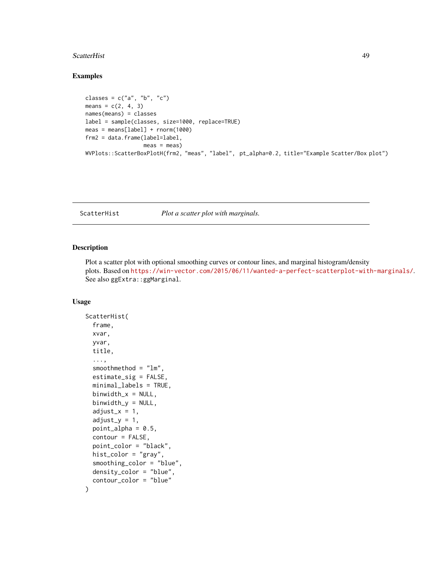#### <span id="page-48-0"></span>ScatterHist 49

#### Examples

```
classes = c("a", "b", "c")means = c(2, 4, 3)names(means) = classes
label = sample(classes, size=1000, replace=TRUE)
meas = mean[label] + rnorm(1000)frm2 = data.frame(label=label,
                 meas = measWVPlots::ScatterBoxPlotH(frm2, "meas", "label", pt_alpha=0.2, title="Example Scatter/Box plot")
```
<span id="page-48-1"></span>ScatterHist *Plot a scatter plot with marginals.*

#### Description

Plot a scatter plot with optional smoothing curves or contour lines, and marginal histogram/density plots. Based on <https://win-vector.com/2015/06/11/wanted-a-perfect-scatterplot-with-marginals/>. See also ggExtra::ggMarginal.

```
ScatterHist(
  frame,
  xvar,
  yvar,
  title,
  ...,
  smoothmethod = "lm",
  estimate_sig = FALSE,
  minimal_labels = TRUE,
  binwidth_x = NULL,binwidth_y = NULL,
  adjust_x = 1,
  adjust_y = 1,
  point_alpha = 0.5,
  contour = FALSE,
  point_color = "black",
  hist_color = "gray",
  smoothing_color = "blue",
  density_color = "blue",
  contour_color = "blue"
)
```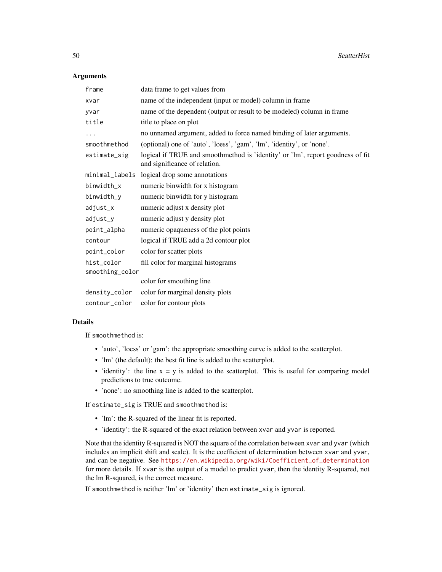#### **Arguments**

| frame           | data frame to get values from                                                                                   |  |
|-----------------|-----------------------------------------------------------------------------------------------------------------|--|
| xvar            | name of the independent (input or model) column in frame                                                        |  |
| yvar            | name of the dependent (output or result to be modeled) column in frame                                          |  |
| title           | title to place on plot                                                                                          |  |
| .               | no unnamed argument, added to force named binding of later arguments.                                           |  |
| smoothmethod    | (optional) one of 'auto', 'loess', 'gam', 'lm', 'identity', or 'none'.                                          |  |
| estimate_sig    | logical if TRUE and smoothmethod is 'identity' or 'lm', report goodness of fit<br>and significance of relation. |  |
| minimal_labels  | logical drop some annotations                                                                                   |  |
| binwidth_x      | numeric binwidth for x histogram                                                                                |  |
| binwidth_y      | numeric binwidth for y histogram                                                                                |  |
| adjust_x        | numeric adjust x density plot                                                                                   |  |
| adjust_y        | numeric adjust y density plot                                                                                   |  |
| point_alpha     | numeric opaqueness of the plot points                                                                           |  |
| contour         | logical if TRUE add a 2d contour plot                                                                           |  |
| point_color     | color for scatter plots                                                                                         |  |
| hist_color      | fill color for marginal histograms                                                                              |  |
| smoothing_color |                                                                                                                 |  |
|                 | color for smoothing line                                                                                        |  |
| density_color   | color for marginal density plots                                                                                |  |
| contour_color   | color for contour plots                                                                                         |  |

#### Details

If smoothmethod is:

- 'auto', 'loess' or 'gam': the appropriate smoothing curve is added to the scatterplot.
- 'lm' (the default): the best fit line is added to the scatterplot.
- 'identity': the line  $x = y$  is added to the scatterplot. This is useful for comparing model predictions to true outcome.
- 'none': no smoothing line is added to the scatterplot.

If estimate\_sig is TRUE and smoothmethod is:

- 'lm': the R-squared of the linear fit is reported.
- 'identity': the R-squared of the exact relation between xvar and yvar is reported.

Note that the identity R-squared is NOT the square of the correlation between xvar and yvar (which includes an implicit shift and scale). It is the coefficient of determination between xvar and yvar, and can be negative. See [https://en.wikipedia.org/wiki/Coefficient\\_of\\_determination](https://en.wikipedia.org/wiki/Coefficient_of_determination) for more details. If xvar is the output of a model to predict yvar, then the identity R-squared, not the lm R-squared, is the correct measure.

If smoothmethod is neither 'lm' or 'identity' then estimate\_sig is ignored.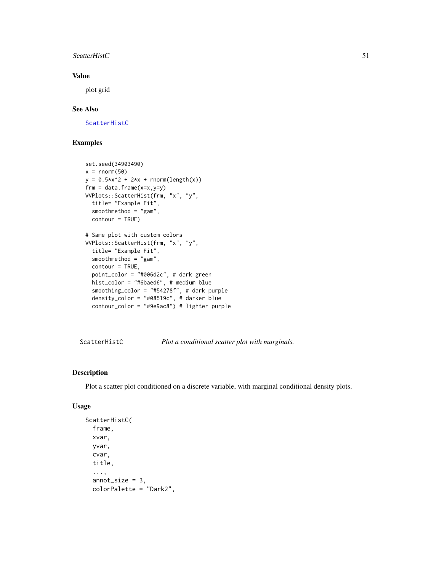#### <span id="page-50-0"></span>ScatterHistC 51

#### Value

plot grid

#### See Also

[ScatterHistC](#page-50-1)

#### Examples

```
set.seed(34903490)
x = rnorm(50)y = 0.5*x^2 + 2*x + rnorm(length(x))frm = data.frame(x=x,y=y)WVPlots::ScatterHist(frm, "x", "y",
  title= "Example Fit",
  smoothmethod = "gam",
  contour = TRUE)
# Same plot with custom colors
WVPlots::ScatterHist(frm, "x", "y",
  title= "Example Fit",
  smoothmethod = "gam",
  contour = TRUE,
  point_color = "#006d2c", # dark green
  hist_color = "#6baed6", # medium blue
  smoothing_color = "#54278f", # dark purple
  density_color = "#08519c", # darker blue
  contour_color = "#9e9ac8") # lighter purple
```
<span id="page-50-1"></span>ScatterHistC *Plot a conditional scatter plot with marginals.*

#### Description

Plot a scatter plot conditioned on a discrete variable, with marginal conditional density plots.

```
ScatterHistC(
  frame,
  xvar,
  yvar,
  cvar,
  title,
  ...,
  annot_size = 3,
  colorPalette = "Dark2",
```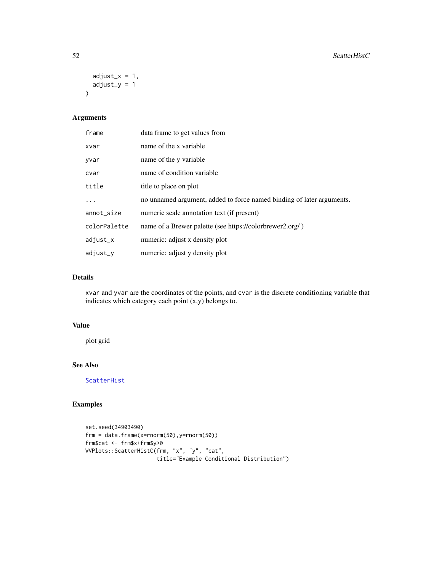```
adjust_x = 1,
  adjust_y = 1\mathcal{L}
```
#### Arguments

| frame        | data frame to get values from                                         |
|--------------|-----------------------------------------------------------------------|
| xvar         | name of the x variable                                                |
| yvar         | name of the y variable                                                |
| cvar         | name of condition variable                                            |
| title        | title to place on plot                                                |
| .            | no unnamed argument, added to force named binding of later arguments. |
| annot_size   | numeric scale annotation text (if present)                            |
| colorPalette | name of a Brewer palette (see https://colorbrewer2.org/)              |
| adjust_x     | numeric: adjust x density plot                                        |
| adjust_y     | numeric: adjust y density plot                                        |

#### Details

xvar and yvar are the coordinates of the points, and cvar is the discrete conditioning variable that indicates which category each point (x,y) belongs to.

#### Value

plot grid

#### See Also

[ScatterHist](#page-48-1)

```
set.seed(34903490)
frm = data.frame(x=rnorm(50),y=rnorm(50))
frm$cat <- frm$x+frm$y>0
WVPlots::ScatterHistC(frm, "x", "y", "cat",
                     title="Example Conditional Distribution")
```
<span id="page-51-0"></span>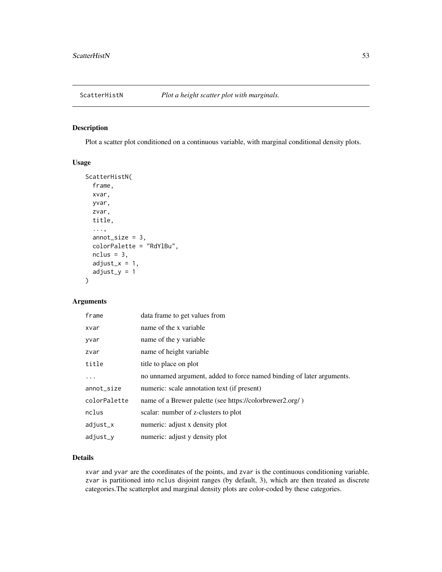<span id="page-52-0"></span>

#### Description

Plot a scatter plot conditioned on a continuous variable, with marginal conditional density plots.

#### Usage

```
ScatterHistN(
  frame,
  xvar,
 yvar,
  zvar,
  title,
  ...,
  annot_size = 3,
  colorPalette = "RdYlBu",
  nclus = 3,
  adjust_x = 1,
  adjust_y = 1)
```
#### Arguments

| frame        | data frame to get values from                                         |
|--------------|-----------------------------------------------------------------------|
| xvar         | name of the x variable                                                |
| yvar         | name of the y variable                                                |
| zvar         | name of height variable                                               |
| title        | title to place on plot                                                |
| .            | no unnamed argument, added to force named binding of later arguments. |
| annot_size   | numeric: scale annotation text (if present)                           |
| colorPalette | name of a Brewer palette (see https://colorbrewer2.org/)              |
| nclus        | scalar: number of z-clusters to plot                                  |
| adjust_x     | numeric: adjust x density plot                                        |
| adjust_v     | numeric: adjust y density plot                                        |

#### Details

xvar and yvar are the coordinates of the points, and zvar is the continuous conditioning variable. zvar is partitioned into nclus disjoint ranges (by default, 3), which are then treated as discrete categories.The scatterplot and marginal density plots are color-coded by these categories.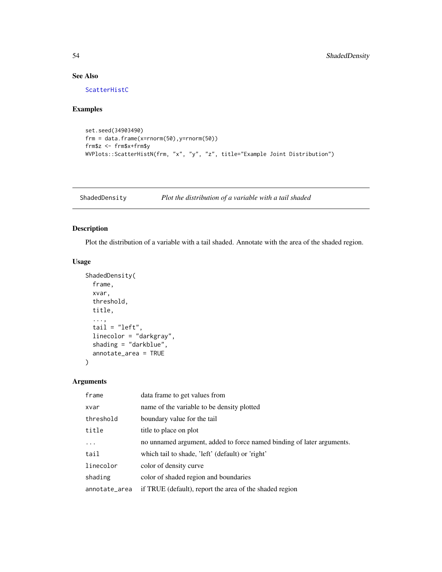#### See Also

[ScatterHistC](#page-50-1)

#### Examples

```
set.seed(34903490)
frm = data.frame(x=rnorm(50),y=rnorm(50))
frm$z <- frm$x+frm$y
WVPlots::ScatterHistN(frm, "x", "y", "z", title="Example Joint Distribution")
```
<span id="page-53-1"></span>ShadedDensity *Plot the distribution of a variable with a tail shaded*

#### Description

Plot the distribution of a variable with a tail shaded. Annotate with the area of the shaded region.

#### Usage

```
ShadedDensity(
  frame,
  xvar,
  threshold,
  title,
  ...,
  tail = "left",
  linecolor = "darkgray",
  shading = "darkblue",
  annotate_area = TRUE
\overline{\phantom{a}}
```

| frame         | data frame to get values from                                         |
|---------------|-----------------------------------------------------------------------|
| xvar          | name of the variable to be density plotted                            |
| threshold     | boundary value for the tail                                           |
| title         | title to place on plot                                                |
| .             | no unnamed argument, added to force named binding of later arguments. |
| tail          | which tail to shade, 'left' (default) or 'right'                      |
| linecolor     | color of density curve                                                |
| shading       | color of shaded region and boundaries                                 |
| annotate_area | if TRUE (default), report the area of the shaded region               |

<span id="page-53-0"></span>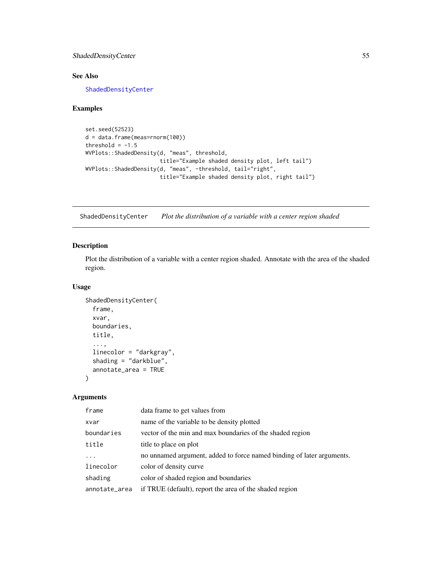#### <span id="page-54-0"></span>ShadedDensityCenter 55

#### See Also

[ShadedDensityCenter](#page-54-1)

#### Examples

```
set.seed(52523)
d = data.frame(meas=rnorm(100))
threshold = -1.5WVPlots::ShadedDensity(d, "meas", threshold,
                       title="Example shaded density plot, left tail")
WVPlots::ShadedDensity(d, "meas", -threshold, tail="right",
                       title="Example shaded density plot, right tail")
```
<span id="page-54-1"></span>ShadedDensityCenter *Plot the distribution of a variable with a center region shaded*

#### Description

Plot the distribution of a variable with a center region shaded. Annotate with the area of the shaded region.

#### Usage

```
ShadedDensityCenter(
  frame,
  xvar,
 boundaries,
  title,
  ...,
  linecolor = "darkgray",
  shading = "darkblue",
  annotate_area = TRUE
)
```

| frame         | data frame to get values from                                         |
|---------------|-----------------------------------------------------------------------|
| xvar          | name of the variable to be density plotted                            |
| boundaries    | vector of the min and max boundaries of the shaded region             |
| title         | title to place on plot                                                |
| .             | no unnamed argument, added to force named binding of later arguments. |
| linecolor     | color of density curve                                                |
| shading       | color of shaded region and boundaries                                 |
| annotate_area | if TRUE (default), report the area of the shaded region               |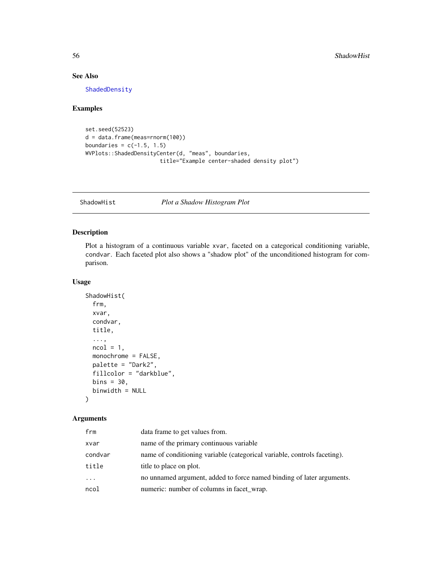#### See Also

[ShadedDensity](#page-53-1)

#### Examples

```
set.seed(52523)
d = data.frame(meas=rnorm(100))
boundaries = c(-1.5, 1.5)WVPlots::ShadedDensityCenter(d, "meas", boundaries,
                       title="Example center-shaded density plot")
```
<span id="page-55-1"></span>ShadowHist *Plot a Shadow Histogram Plot*

#### Description

Plot a histogram of a continuous variable xvar, faceted on a categorical conditioning variable, condvar. Each faceted plot also shows a "shadow plot" of the unconditioned histogram for comparison.

#### Usage

```
ShadowHist(
  frm,
  xvar,
  condvar,
  title,
  ...,
  ncol = 1,
  monochrome = FALSE,
  palette = "Dark2",
  fillcolor = "darkblue",
  bins = 30,
  binwidth = NULL
\mathcal{L}
```

| frm     | data frame to get values from.                                           |
|---------|--------------------------------------------------------------------------|
| xvar    | name of the primary continuous variable                                  |
| condvar | name of conditioning variable (categorical variable, controls faceting). |
| title   | title to place on plot.                                                  |
| .       | no unnamed argument, added to force named binding of later arguments.    |
| ncol    | numeric: number of columns in facet_wrap.                                |

<span id="page-55-0"></span>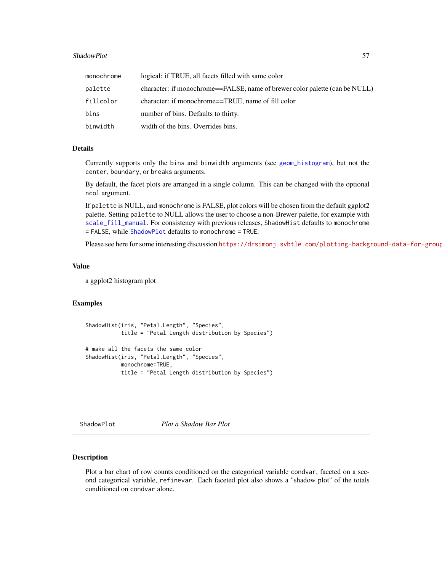#### <span id="page-56-0"></span>ShadowPlot 57

| monochrome | logical: if TRUE, all facets filled with same color                         |
|------------|-----------------------------------------------------------------------------|
| palette    | character: if monochrome==FALSE, name of brewer color palette (can be NULL) |
| fillcolor  | character: if monochrome==TRUE, name of fill color                          |
| bins       | number of bins. Defaults to thirty.                                         |
| binwidth   | width of the bins. Overrides bins.                                          |

#### Details

Currently supports only the bins and binwidth arguments (see [geom\\_histogram](#page-0-0)), but not the center, boundary, or breaks arguments.

By default, the facet plots are arranged in a single column. This can be changed with the optional ncol argument.

If palette is NULL, and monochrome is FALSE, plot colors will be chosen from the default ggplot2 palette. Setting palette to NULL allows the user to choose a non-Brewer palette, for example with [scale\\_fill\\_manual](#page-0-0). For consistency with previous releases, ShadowHist defaults to monochrome = FALSE, while [ShadowPlot](#page-56-1) defaults to monochrome = TRUE.

Please see here for some interesting discussion https://drsimonj.svbtle.com/plotting-background-data-for-group

#### Value

a ggplot2 histogram plot

#### Examples

```
ShadowHist(iris, "Petal.Length", "Species",
           title = "Petal Length distribution by Species")
# make all the facets the same color
ShadowHist(iris, "Petal.Length", "Species",
           monochrome=TRUE,
           title = "Petal Length distribution by Species")
```
<span id="page-56-1"></span>ShadowPlot *Plot a Shadow Bar Plot*

#### Description

Plot a bar chart of row counts conditioned on the categorical variable condvar, faceted on a second categorical variable, refinevar. Each faceted plot also shows a "shadow plot" of the totals conditioned on condvar alone.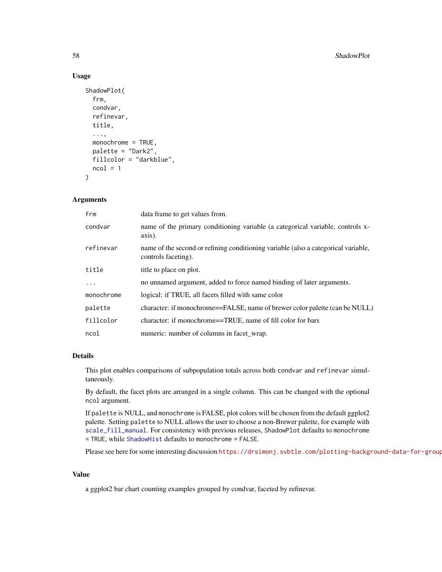#### Usage

```
ShadowPlot(
  frm,
  condvar,
  refinevar,
  title,
  ...,
  monochrome = TRUE,
 palette = "Dark2",
  fillcolor = "darkblue",
  ncol = 1)
```
#### Arguments

| frm        | data frame to get values from.                                                                            |
|------------|-----------------------------------------------------------------------------------------------------------|
| condvar    | name of the primary conditioning variable (a categorical variable, controls x-<br>axis).                  |
| refinevar  | name of the second or refining conditioning variable (also a categorical variable,<br>controls faceting). |
| title      | title to place on plot.                                                                                   |
| $\ddots$   | no unnamed argument, added to force named binding of later arguments.                                     |
| monochrome | logical: if TRUE, all facets filled with same color                                                       |
| palette    | character: if monochrome==FALSE, name of brewer color palette (can be NULL)                               |
| fillcolor  | character: if monochrome==TRUE, name of fill color for bars                                               |
| ncol       | numeric: number of columns in facet_wrap.                                                                 |

#### Details

This plot enables comparisons of subpopulation totals across both condvar and refinevar simultaneously.

By default, the facet plots are arranged in a single column. This can be changed with the optional ncol argument.

If palette is NULL, and monochrome is FALSE, plot colors will be chosen from the default ggplot2 palette. Setting palette to NULL allows the user to choose a non-Brewer palette, for example with [scale\\_fill\\_manual](#page-0-0). For consistency with previous releases, ShadowPlot defaults to monochrome = TRUE, while [ShadowHist](#page-55-1) defaults to monochrome = FALSE.

Please see here for some interesting discussion https://drsimonj.svbtle.com/plotting-background-data-for-group

#### Value

a ggplot2 bar chart counting examples grouped by condvar, faceted by refinevar.

<span id="page-57-0"></span>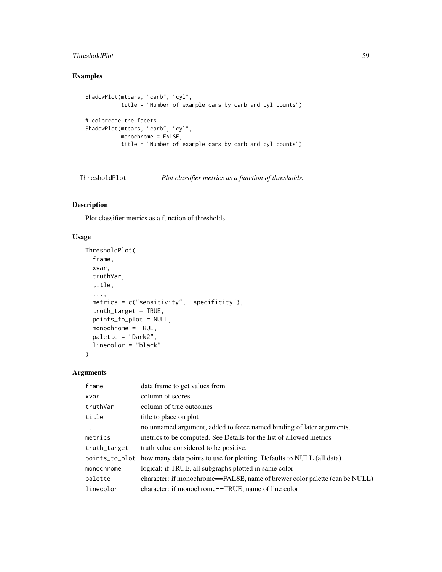#### <span id="page-58-0"></span>ThresholdPlot 59

#### Examples

```
ShadowPlot(mtcars, "carb", "cyl",
           title = "Number of example cars by carb and cyl counts")
# colorcode the facets
ShadowPlot(mtcars, "carb", "cyl",
          monochrome = FALSE,
           title = "Number of example cars by carb and cyl counts")
```
<span id="page-58-1"></span>ThresholdPlot *Plot classifier metrics as a function of thresholds.*

#### Description

Plot classifier metrics as a function of thresholds.

#### Usage

```
ThresholdPlot(
  frame,
 xvar,
  truthVar,
  title,
  ...,
 metrics = c("sensitivity", "specificity"),
  truth_target = TRUE,
 points_to_plot = NULL,
 monochrome = TRUE,
 palette = "Dark2",
 linecolor = "black"
\mathcal{L}
```

| frame        | data frame to get values from                                                        |
|--------------|--------------------------------------------------------------------------------------|
| xvar         | column of scores                                                                     |
| truthVar     | column of true outcomes                                                              |
| title        | title to place on plot                                                               |
| $\ddotsc$    | no unnamed argument, added to force named binding of later arguments.                |
| metrics      | metrics to be computed. See Details for the list of allowed metrics                  |
| truth_target | truth value considered to be positive.                                               |
|              | points_to_plot how many data points to use for plotting. Defaults to NULL (all data) |
| monochrome   | logical: if TRUE, all subgraphs plotted in same color                                |
| palette      | character: if monochrome==FALSE, name of brewer color palette (can be NULL)          |
| linecolor    | character: if monochrome==TRUE, name of line color                                   |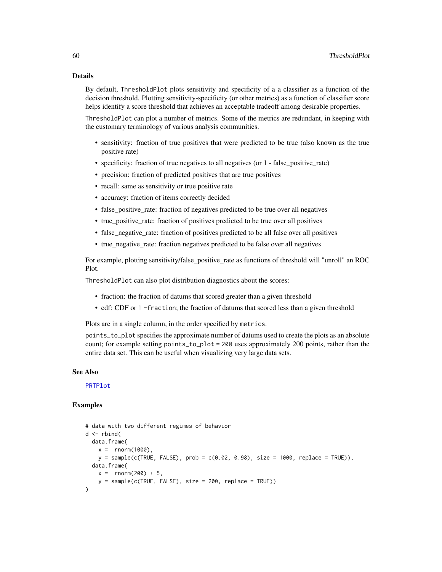#### Details

By default, ThresholdPlot plots sensitivity and specificity of a a classifier as a function of the decision threshold. Plotting sensitivity-specificity (or other metrics) as a function of classifier score helps identify a score threshold that achieves an acceptable tradeoff among desirable properties.

ThresholdPlot can plot a number of metrics. Some of the metrics are redundant, in keeping with the customary terminology of various analysis communities.

- sensitivity: fraction of true positives that were predicted to be true (also known as the true positive rate)
- specificity: fraction of true negatives to all negatives (or 1 false\_positive\_rate)
- precision: fraction of predicted positives that are true positives
- recall: same as sensitivity or true positive rate
- accuracy: fraction of items correctly decided
- false\_positive\_rate: fraction of negatives predicted to be true over all negatives
- true\_positive\_rate: fraction of positives predicted to be true over all positives
- false\_negative\_rate: fraction of positives predicted to be all false over all positives
- true negative rate: fraction negatives predicted to be false over all negatives

For example, plotting sensitivity/false\_positive\_rate as functions of threshold will "unroll" an ROC Plot.

ThresholdPlot can also plot distribution diagnostics about the scores:

- fraction: the fraction of datums that scored greater than a given threshold
- cdf: CDF or 1 -fraction; the fraction of datums that scored less than a given threshold

Plots are in a single column, in the order specified by metrics.

points\_to\_plot specifies the approximate number of datums used to create the plots as an absolute count; for example setting points\_to\_plot = 200 uses approximately 200 points, rather than the entire data set. This can be useful when visualizing very large data sets.

#### See Also

[PRTPlot](#page-36-1)

```
# data with two different regimes of behavior
d <- rbind(
 data.frame(
   x = rnorm(1000),
   y = sample(c(TRUE, FALSE), prob = c(0.02, 0.98), size = 1000, replace = TRUE)),data.frame(
   x = rnorm(200) + 5,
   y = sample(c(TRUE, FALSE), size = 200, replace = TRUE)))
```
<span id="page-59-0"></span>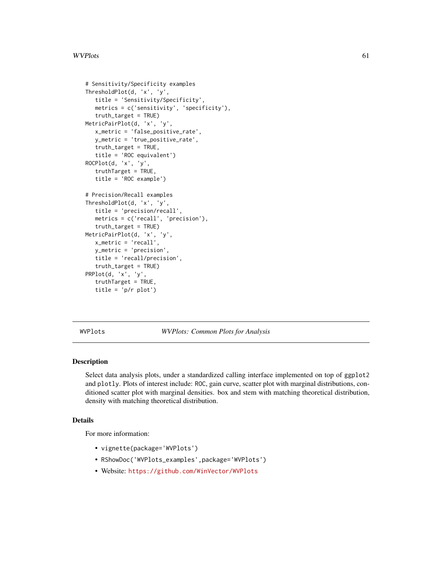```
# Sensitivity/Specificity examples
ThresholdPlot(d, 'x', 'y',
   title = 'Sensitivity/Specificity',
   metrics = c('sensitivity', 'specificity'),
   truth_target = TRUE)
MetricPairPlot(d, 'x', 'y',
   x_metric = 'false_positive_rate',
   y_metric = 'true_positive_rate',
   truth_target = TRUE,
   title = 'ROC equivalent')
ROCPlot(d, 'x', 'y',
   truthTarget = TRUE,
   title = 'ROC example')
# Precision/Recall examples
ThresholdPlot(d, 'x', 'y',
   title = 'precision/recall',
   metrics = c('recall', 'precision'),
   truth_target = TRUE)
MetricPairPlot(d, 'x', 'y',
   x_metric = 'recall',
   y_metric = 'precision',
   title = 'recall/precision',
   truth_target = TRUE)
PRPlot(d, 'x', 'y',
   truthTarget = TRUE,
   title = 'p/r plot')
```
WVPlots *WVPlots: Common Plots for Analysis*

#### Description

Select data analysis plots, under a standardized calling interface implemented on top of ggplot2 and plotly. Plots of interest include: ROC, gain curve, scatter plot with marginal distributions, conditioned scatter plot with marginal densities. box and stem with matching theoretical distribution, density with matching theoretical distribution.

#### Details

For more information:

- vignette(package='WVPlots')
- RShowDoc('WVPlots\_examples',package='WVPlots')
- Website: <https://github.com/WinVector/WVPlots>